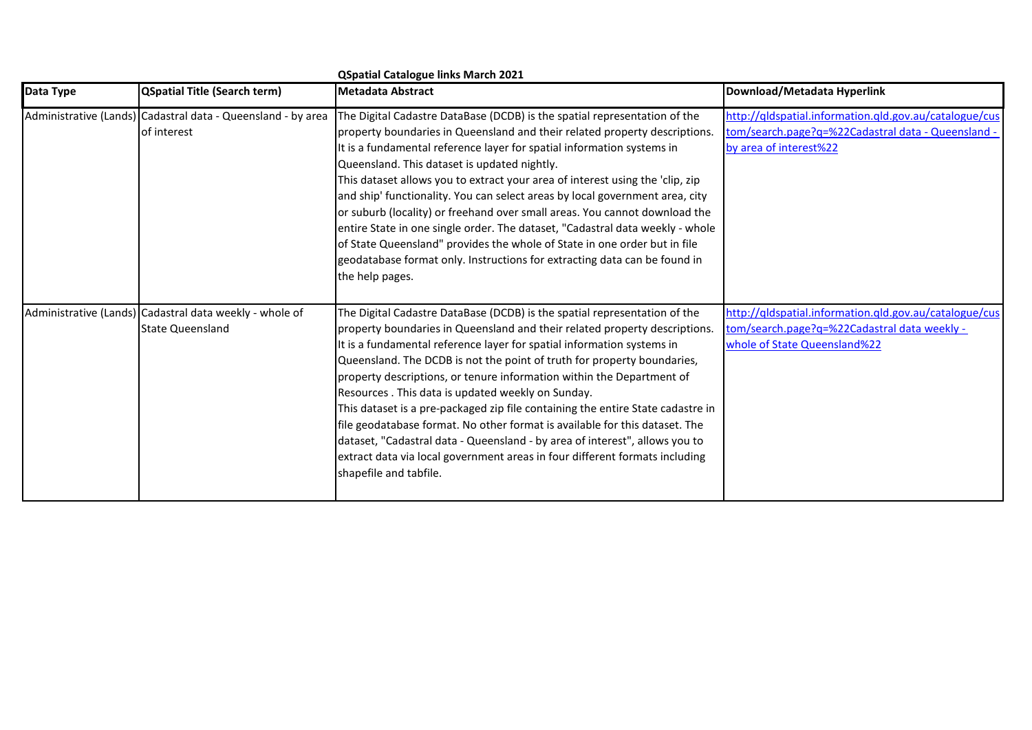|           |                                                                                    | <b>QSpatial Catalogue links March 2021</b>                                                                                                                                                                                                                                                                                                                                                                                                                                                                                                                                                                                                                                                                                                                                                           |                                                                                                                                        |
|-----------|------------------------------------------------------------------------------------|------------------------------------------------------------------------------------------------------------------------------------------------------------------------------------------------------------------------------------------------------------------------------------------------------------------------------------------------------------------------------------------------------------------------------------------------------------------------------------------------------------------------------------------------------------------------------------------------------------------------------------------------------------------------------------------------------------------------------------------------------------------------------------------------------|----------------------------------------------------------------------------------------------------------------------------------------|
| Data Type | <b>QSpatial Title (Search term)</b>                                                | <b>Metadata Abstract</b>                                                                                                                                                                                                                                                                                                                                                                                                                                                                                                                                                                                                                                                                                                                                                                             | Download/Metadata Hyperlink                                                                                                            |
|           | Administrative (Lands) Cadastral data - Queensland - by area<br>of interest        | The Digital Cadastre DataBase (DCDB) is the spatial representation of the<br>property boundaries in Queensland and their related property descriptions.<br>It is a fundamental reference layer for spatial information systems in<br>Queensland. This dataset is updated nightly.<br>This dataset allows you to extract your area of interest using the 'clip, zip<br>and ship' functionality. You can select areas by local government area, city<br>or suburb (locality) or freehand over small areas. You cannot download the<br>entire State in one single order. The dataset, "Cadastral data weekly - whole<br>of State Queensland" provides the whole of State in one order but in file<br>geodatabase format only. Instructions for extracting data can be found in<br>the help pages.       | http://qldspatial.information.qld.gov.au/catalogue/cus<br>tom/search.page?q=%22Cadastral data - Queensland<br>by area of interest%22   |
|           | Administrative (Lands) Cadastral data weekly - whole of<br><b>State Queensland</b> | The Digital Cadastre DataBase (DCDB) is the spatial representation of the<br>property boundaries in Queensland and their related property descriptions.<br>It is a fundamental reference layer for spatial information systems in<br>Queensland. The DCDB is not the point of truth for property boundaries,<br>property descriptions, or tenure information within the Department of<br>Resources. This data is updated weekly on Sunday.<br>This dataset is a pre-packaged zip file containing the entire State cadastre in<br>file geodatabase format. No other format is available for this dataset. The<br>dataset, "Cadastral data - Queensland - by area of interest", allows you to<br>extract data via local government areas in four different formats including<br>shapefile and tabfile. | http://qldspatial.information.qld.gov.au/catalogue/cus<br>tom/search.page?q=%22Cadastral data weekly -<br>whole of State Queensland%22 |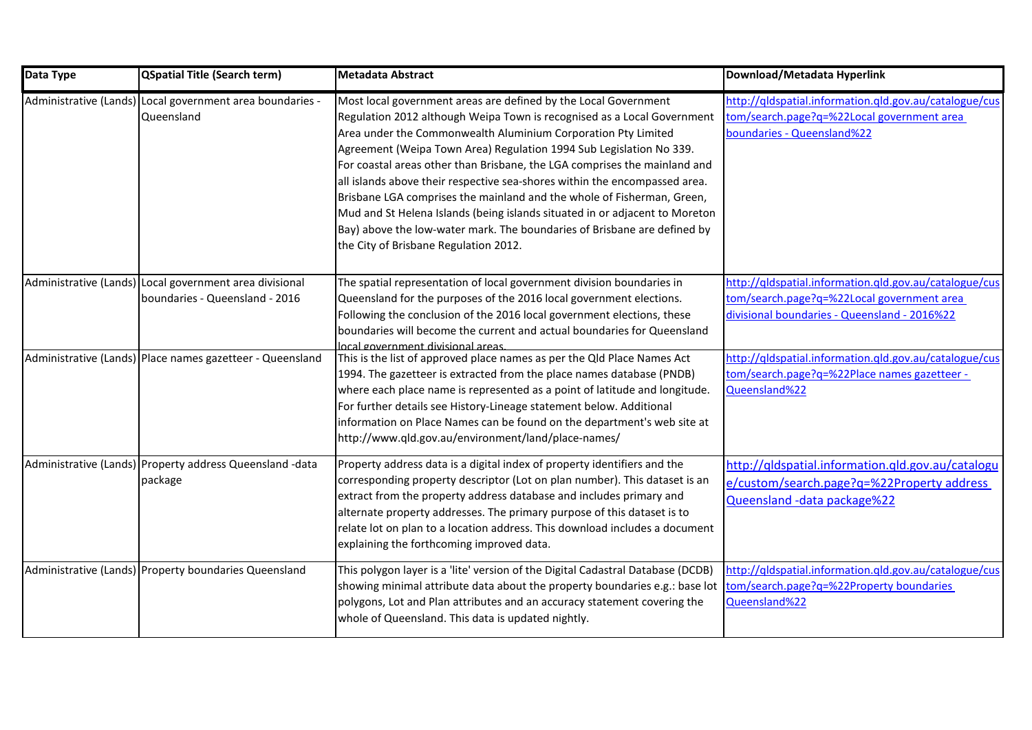| Data Type | <b>QSpatial Title (Search term)</b>                                                       | <b>Metadata Abstract</b>                                                                                                                                                                                                                                                                                                                                                                                                                                                                                                                                                                                                                                                                                                    | Download/Metadata Hyperlink                                                                                                                          |
|-----------|-------------------------------------------------------------------------------------------|-----------------------------------------------------------------------------------------------------------------------------------------------------------------------------------------------------------------------------------------------------------------------------------------------------------------------------------------------------------------------------------------------------------------------------------------------------------------------------------------------------------------------------------------------------------------------------------------------------------------------------------------------------------------------------------------------------------------------------|------------------------------------------------------------------------------------------------------------------------------------------------------|
|           | Administrative (Lands) Local government area boundaries -<br>Queensland                   | Most local government areas are defined by the Local Government<br>Regulation 2012 although Weipa Town is recognised as a Local Government<br>Area under the Commonwealth Aluminium Corporation Pty Limited<br>Agreement (Weipa Town Area) Regulation 1994 Sub Legislation No 339.<br>For coastal areas other than Brisbane, the LGA comprises the mainland and<br>all islands above their respective sea-shores within the encompassed area.<br>Brisbane LGA comprises the mainland and the whole of Fisherman, Green,<br>Mud and St Helena Islands (being islands situated in or adjacent to Moreton<br>Bay) above the low-water mark. The boundaries of Brisbane are defined by<br>the City of Brisbane Regulation 2012. | http://qldspatial.information.qld.gov.au/catalogue/cus<br>tom/search.page?q=%22Local government area<br>boundaries - Queensland%22                   |
|           | Administrative (Lands) Local government area divisional<br>boundaries - Queensland - 2016 | The spatial representation of local government division boundaries in<br>Queensland for the purposes of the 2016 local government elections.<br>Following the conclusion of the 2016 local government elections, these<br>boundaries will become the current and actual boundaries for Queensland<br>local government divisional areas                                                                                                                                                                                                                                                                                                                                                                                      | http://qldspatial.information.qld.gov.au/catalogue/cus<br>tom/search.page?q=%22Local government area<br>divisional boundaries - Queensland - 2016%22 |
|           | Administrative (Lands) Place names gazetteer - Queensland                                 | This is the list of approved place names as per the Qld Place Names Act<br>1994. The gazetteer is extracted from the place names database (PNDB)<br>where each place name is represented as a point of latitude and longitude.<br>For further details see History-Lineage statement below. Additional<br>information on Place Names can be found on the department's web site at<br>http://www.qld.gov.au/environment/land/place-names/                                                                                                                                                                                                                                                                                     | http://qldspatial.information.qld.gov.au/catalogue/cus<br>tom/search.page?q=%22Place names gazetteer -<br>Queensland%22                              |
|           | Administrative (Lands) Property address Queensland -data<br>package                       | Property address data is a digital index of property identifiers and the<br>corresponding property descriptor (Lot on plan number). This dataset is an<br>extract from the property address database and includes primary and<br>alternate property addresses. The primary purpose of this dataset is to<br>relate lot on plan to a location address. This download includes a document<br>explaining the forthcoming improved data.                                                                                                                                                                                                                                                                                        | http://qldspatial.information.qld.gov.au/catalogu<br>e/custom/search.page?q=%22Property address<br>Queensland - data package%22                      |
|           | Administrative (Lands) Property boundaries Queensland                                     | This polygon layer is a 'lite' version of the Digital Cadastral Database (DCDB)<br>showing minimal attribute data about the property boundaries e.g.: base lot<br>polygons, Lot and Plan attributes and an accuracy statement covering the<br>whole of Queensland. This data is updated nightly.                                                                                                                                                                                                                                                                                                                                                                                                                            | http://qldspatial.information.qld.gov.au/catalogue/cus<br>tom/search.page?q=%22Property boundaries<br>Queensland%22                                  |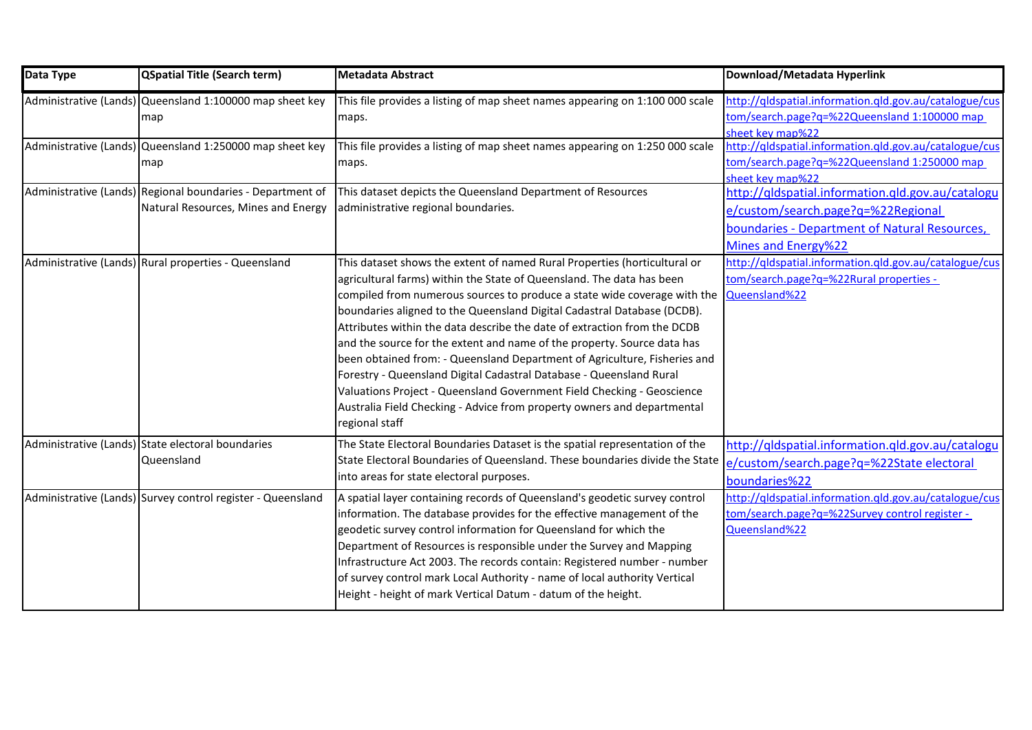| Data Type | <b>QSpatial Title (Search term)</b>                                                               | <b>Metadata Abstract</b>                                                                                                                                                                                                                                                                                                                                                                                                                                                                                                                                                                                                                                                                                                                                                                    | Download/Metadata Hyperlink                                                                                                                                     |
|-----------|---------------------------------------------------------------------------------------------------|---------------------------------------------------------------------------------------------------------------------------------------------------------------------------------------------------------------------------------------------------------------------------------------------------------------------------------------------------------------------------------------------------------------------------------------------------------------------------------------------------------------------------------------------------------------------------------------------------------------------------------------------------------------------------------------------------------------------------------------------------------------------------------------------|-----------------------------------------------------------------------------------------------------------------------------------------------------------------|
|           | Administrative (Lands) Queensland 1:100000 map sheet key<br>map                                   | This file provides a listing of map sheet names appearing on 1:100 000 scale<br>maps.                                                                                                                                                                                                                                                                                                                                                                                                                                                                                                                                                                                                                                                                                                       | http://qldspatial.information.qld.gov.au/catalogue/cus<br>tom/search.page?q=%22Queensland 1:100000 map<br>sheet key map%22                                      |
|           | Administrative (Lands) Queensland 1:250000 map sheet key<br>map                                   | This file provides a listing of map sheet names appearing on 1:250 000 scale<br>maps.                                                                                                                                                                                                                                                                                                                                                                                                                                                                                                                                                                                                                                                                                                       | http://qldspatial.information.qld.gov.au/catalogue/cus<br>tom/search.page?q=%22Queensland 1:250000 map<br>sheet key map%22                                      |
|           | Administrative (Lands) Regional boundaries - Department of<br>Natural Resources, Mines and Energy | This dataset depicts the Queensland Department of Resources<br>administrative regional boundaries.                                                                                                                                                                                                                                                                                                                                                                                                                                                                                                                                                                                                                                                                                          | http://qldspatial.information.qld.gov.au/catalogu<br>e/custom/search.page?q=%22Regional<br>boundaries - Department of Natural Resources,<br>Mines and Energy%22 |
|           | Administrative (Lands) Rural properties - Queensland                                              | This dataset shows the extent of named Rural Properties (horticultural or<br>agricultural farms) within the State of Queensland. The data has been<br>compiled from numerous sources to produce a state wide coverage with the<br>boundaries aligned to the Queensland Digital Cadastral Database (DCDB).<br>Attributes within the data describe the date of extraction from the DCDB<br>and the source for the extent and name of the property. Source data has<br>been obtained from: - Queensland Department of Agriculture, Fisheries and<br>Forestry - Queensland Digital Cadastral Database - Queensland Rural<br>Valuations Project - Queensland Government Field Checking - Geoscience<br>Australia Field Checking - Advice from property owners and departmental<br>regional staff | http://qldspatial.information.qld.gov.au/catalogue/cus<br>tom/search.page?q=%22Rural properties -<br>Queensland%22                                              |
|           | Administrative (Lands) State electoral boundaries<br>Queensland                                   | The State Electoral Boundaries Dataset is the spatial representation of the<br>State Electoral Boundaries of Queensland. These boundaries divide the State<br>into areas for state electoral purposes.                                                                                                                                                                                                                                                                                                                                                                                                                                                                                                                                                                                      | http://qldspatial.information.qld.gov.au/catalogu<br>e/custom/search.page?q=%22State electoral<br>boundaries%22                                                 |
|           | Administrative (Lands) Survey control register - Queensland                                       | A spatial layer containing records of Queensland's geodetic survey control<br>information. The database provides for the effective management of the<br>geodetic survey control information for Queensland for which the<br>Department of Resources is responsible under the Survey and Mapping<br>Infrastructure Act 2003. The records contain: Registered number - number<br>of survey control mark Local Authority - name of local authority Vertical<br>Height - height of mark Vertical Datum - datum of the height.                                                                                                                                                                                                                                                                   | http://qldspatial.information.qld.gov.au/catalogue/cus<br>tom/search.page?q=%22Survey control register -<br>Queensland%22                                       |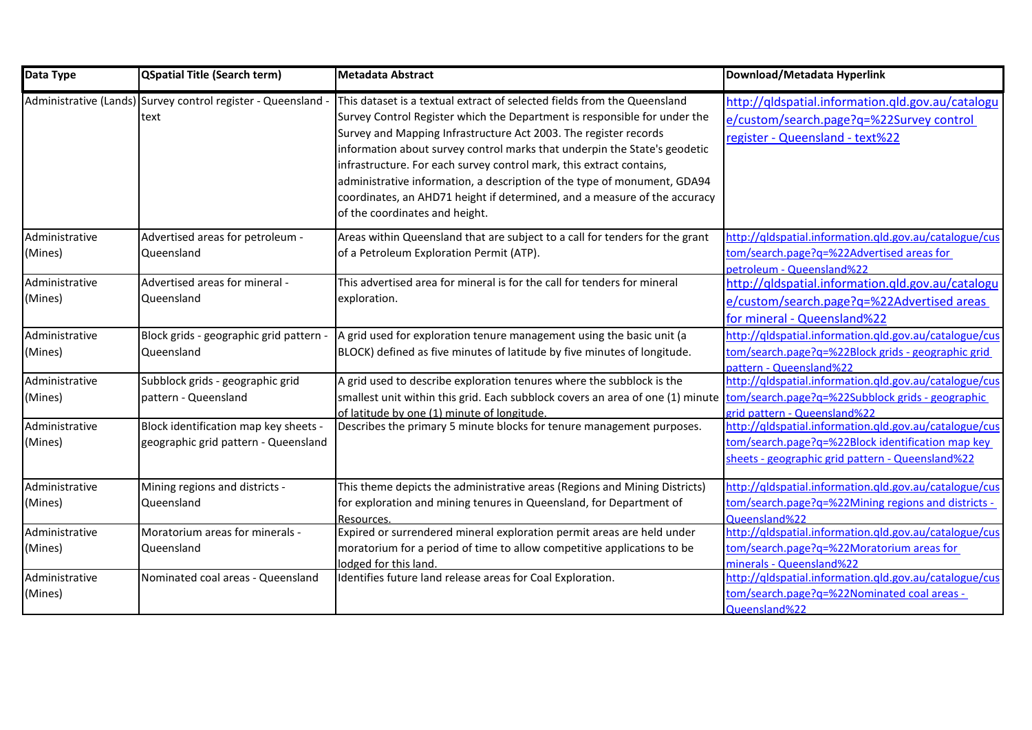| Data Type                 | <b>QSpatial Title (Search term)</b>                                           | Metadata Abstract                                                                                                                                                                                                                                                                                                                                                                                                                                                                                                                                                         | Download/Metadata Hyperlink                                                                                                                                     |
|---------------------------|-------------------------------------------------------------------------------|---------------------------------------------------------------------------------------------------------------------------------------------------------------------------------------------------------------------------------------------------------------------------------------------------------------------------------------------------------------------------------------------------------------------------------------------------------------------------------------------------------------------------------------------------------------------------|-----------------------------------------------------------------------------------------------------------------------------------------------------------------|
|                           | Administrative (Lands) Survey control register - Queensland<br>text           | This dataset is a textual extract of selected fields from the Queensland<br>Survey Control Register which the Department is responsible for under the<br>Survey and Mapping Infrastructure Act 2003. The register records<br>information about survey control marks that underpin the State's geodetic<br>infrastructure. For each survey control mark, this extract contains,<br>administrative information, a description of the type of monument, GDA94<br>coordinates, an AHD71 height if determined, and a measure of the accuracy<br>of the coordinates and height. | http://qldspatial.information.qld.gov.au/catalogu<br>e/custom/search.page?q=%22Survey control<br>register - Queensland - text%22                                |
| Administrative<br>(Mines) | Advertised areas for petroleum -<br>Queensland                                | Areas within Queensland that are subject to a call for tenders for the grant<br>of a Petroleum Exploration Permit (ATP).                                                                                                                                                                                                                                                                                                                                                                                                                                                  | http://qldspatial.information.qld.gov.au/catalogue/cus<br>tom/search.page?q=%22Advertised areas for<br>petroleum - Queensland%22                                |
| Administrative<br>(Mines) | Advertised areas for mineral -<br>Queensland                                  | This advertised area for mineral is for the call for tenders for mineral<br>exploration.                                                                                                                                                                                                                                                                                                                                                                                                                                                                                  | http://qldspatial.information.qld.gov.au/catalogu<br>e/custom/search.page?q=%22Advertised areas<br>for mineral - Queensland%22                                  |
| Administrative<br>(Mines) | Block grids - geographic grid pattern -<br>Queensland                         | A grid used for exploration tenure management using the basic unit (a<br>BLOCK) defined as five minutes of latitude by five minutes of longitude.                                                                                                                                                                                                                                                                                                                                                                                                                         | http://qldspatial.information.qld.gov.au/catalogue/cus<br>tom/search.page?q=%22Block grids - geographic grid<br>pattern - Queensland%22                         |
| Administrative<br>(Mines) | Subblock grids - geographic grid<br>pattern - Queensland                      | A grid used to describe exploration tenures where the subblock is the<br>smallest unit within this grid. Each subblock covers an area of one (1) minute<br>of latitude by one (1) minute of longitude.                                                                                                                                                                                                                                                                                                                                                                    | http://qldspatial.information.qld.gov.au/catalogue/cus<br>tom/search.page?q=%22Subblock grids - geographic<br>grid pattern - Queensland%22                      |
| Administrative<br>(Mines) | Block identification map key sheets -<br>geographic grid pattern - Queensland | Describes the primary 5 minute blocks for tenure management purposes.                                                                                                                                                                                                                                                                                                                                                                                                                                                                                                     | http://qldspatial.information.qld.gov.au/catalogue/cus<br>tom/search.page?q=%22Block identification map key<br>sheets - geographic grid pattern - Queensland%22 |
| Administrative<br>(Mines) | Mining regions and districts -<br>Queensland                                  | This theme depicts the administrative areas (Regions and Mining Districts)<br>for exploration and mining tenures in Queensland, for Department of<br>Resources.                                                                                                                                                                                                                                                                                                                                                                                                           | http://qldspatial.information.qld.gov.au/catalogue/cus<br>tom/search.page?q=%22Mining regions and districts -<br>Queensland%22                                  |
| Administrative<br>(Mines) | Moratorium areas for minerals -<br>Queensland                                 | Expired or surrendered mineral exploration permit areas are held under<br>moratorium for a period of time to allow competitive applications to be<br>lodged for this land.                                                                                                                                                                                                                                                                                                                                                                                                | http://qldspatial.information.qld.gov.au/catalogue/cus<br>tom/search.page?q=%22Moratorium areas for<br>minerals - Queensland%22                                 |
| Administrative<br>(Mines) | Nominated coal areas - Queensland                                             | Identifies future land release areas for Coal Exploration.                                                                                                                                                                                                                                                                                                                                                                                                                                                                                                                | http://qldspatial.information.qld.gov.au/catalogue/cus<br>tom/search.page?q=%22Nominated coal areas -<br>Queensland%22                                          |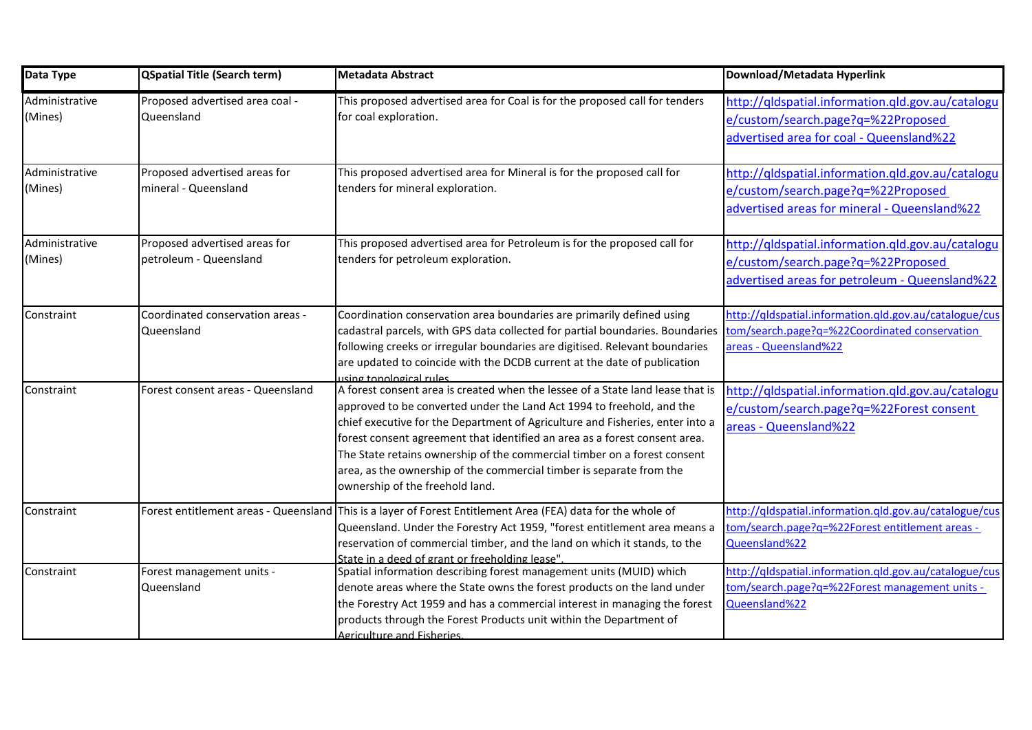| Data Type                 | <b>QSpatial Title (Search term)</b>                     | <b>Metadata Abstract</b>                                                                                                                                                                                                                                                                                                                                                                                                                                                                                      | Download/Metadata Hyperlink                                                                                                               |
|---------------------------|---------------------------------------------------------|---------------------------------------------------------------------------------------------------------------------------------------------------------------------------------------------------------------------------------------------------------------------------------------------------------------------------------------------------------------------------------------------------------------------------------------------------------------------------------------------------------------|-------------------------------------------------------------------------------------------------------------------------------------------|
| Administrative<br>(Mines) | Proposed advertised area coal -<br>Queensland           | This proposed advertised area for Coal is for the proposed call for tenders<br>for coal exploration.                                                                                                                                                                                                                                                                                                                                                                                                          | http://qldspatial.information.qld.gov.au/catalogu<br>e/custom/search.page?q=%22Proposed<br>advertised area for coal - Queensland%22       |
| Administrative<br>(Mines) | Proposed advertised areas for<br>mineral - Queensland   | This proposed advertised area for Mineral is for the proposed call for<br>tenders for mineral exploration.                                                                                                                                                                                                                                                                                                                                                                                                    | http://qldspatial.information.qld.gov.au/catalogu<br>e/custom/search.page?q=%22Proposed<br>advertised areas for mineral - Queensland%22   |
| Administrative<br>(Mines) | Proposed advertised areas for<br>petroleum - Queensland | This proposed advertised area for Petroleum is for the proposed call for<br>tenders for petroleum exploration.                                                                                                                                                                                                                                                                                                                                                                                                | http://gldspatial.information.gld.gov.au/catalogu<br>e/custom/search.page?q=%22Proposed<br>advertised areas for petroleum - Queensland%22 |
| Constraint                | Coordinated conservation areas -<br>Queensland          | Coordination conservation area boundaries are primarily defined using<br>cadastral parcels, with GPS data collected for partial boundaries. Boundaries<br>following creeks or irregular boundaries are digitised. Relevant boundaries<br>are updated to coincide with the DCDB current at the date of publication<br>using topological rules                                                                                                                                                                  | http://qldspatial.information.qld.gov.au/catalogue/cus<br>tom/search.page?q=%22Coordinated conservation<br>areas - Queensland%22          |
| Constraint                | Forest consent areas - Queensland                       | A forest consent area is created when the lessee of a State land lease that is<br>approved to be converted under the Land Act 1994 to freehold, and the<br>chief executive for the Department of Agriculture and Fisheries, enter into a<br>forest consent agreement that identified an area as a forest consent area.<br>The State retains ownership of the commercial timber on a forest consent<br>area, as the ownership of the commercial timber is separate from the<br>ownership of the freehold land. | http://gldspatial.information.gld.gov.au/catalogu<br>e/custom/search.page?q=%22Forest consent<br>areas - Queensland%22                    |
| Constraint                |                                                         | Forest entitlement areas - Queensland This is a layer of Forest Entitlement Area (FEA) data for the whole of<br>Queensland. Under the Forestry Act 1959, "forest entitlement area means a<br>reservation of commercial timber, and the land on which it stands, to the<br>State in a deed of grant or freeholding lease".                                                                                                                                                                                     | http://qldspatial.information.qld.gov.au/catalogue/cus<br>tom/search.page?q=%22Forest entitlement areas -<br>Queensland%22                |
| Constraint                | Forest management units -<br>Queensland                 | Spatial information describing forest management units (MUID) which<br>denote areas where the State owns the forest products on the land under<br>the Forestry Act 1959 and has a commercial interest in managing the forest<br>products through the Forest Products unit within the Department of<br><b>Agriculture and Fisheries</b>                                                                                                                                                                        | http://qldspatial.information.qld.gov.au/catalogue/cus<br>tom/search.page?q=%22Forest management units -<br>Queensland%22                 |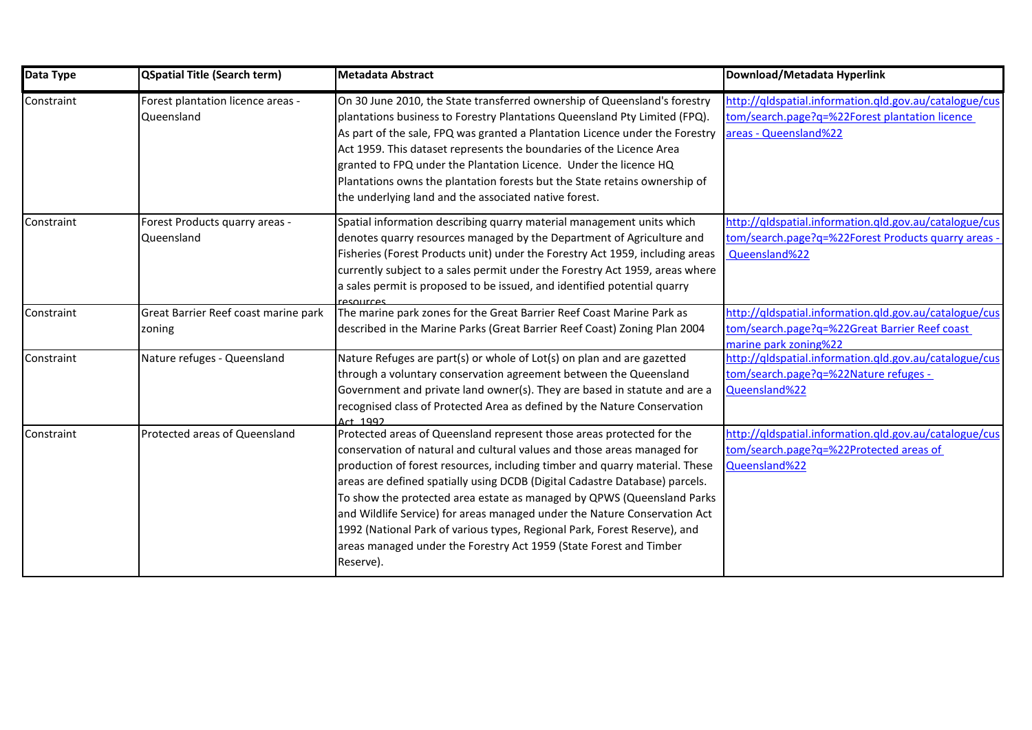| Data Type  | <b>QSpatial Title (Search term)</b>             | <b>Metadata Abstract</b>                                                                                                                                                                                                                                                                                                                                                                                                                                                                                                                                                                                                              | Download/Metadata Hyperlink                                                                                                       |
|------------|-------------------------------------------------|---------------------------------------------------------------------------------------------------------------------------------------------------------------------------------------------------------------------------------------------------------------------------------------------------------------------------------------------------------------------------------------------------------------------------------------------------------------------------------------------------------------------------------------------------------------------------------------------------------------------------------------|-----------------------------------------------------------------------------------------------------------------------------------|
| Constraint | Forest plantation licence areas -<br>Queensland | On 30 June 2010, the State transferred ownership of Queensland's forestry<br>plantations business to Forestry Plantations Queensland Pty Limited (FPQ).<br>As part of the sale, FPQ was granted a Plantation Licence under the Forestry<br>Act 1959. This dataset represents the boundaries of the Licence Area<br>granted to FPQ under the Plantation Licence. Under the licence HQ<br>Plantations owns the plantation forests but the State retains ownership of<br>the underlying land and the associated native forest.                                                                                                           | http://qldspatial.information.qld.gov.au/catalogue/cus<br>tom/search.page?q=%22Forest plantation licence<br>areas - Queensland%22 |
| Constraint | Forest Products quarry areas -<br>Queensland    | Spatial information describing quarry material management units which<br>denotes quarry resources managed by the Department of Agriculture and<br>Fisheries (Forest Products unit) under the Forestry Act 1959, including areas<br>currently subject to a sales permit under the Forestry Act 1959, areas where<br>a sales permit is proposed to be issued, and identified potential quarry<br>resources                                                                                                                                                                                                                              | http://qldspatial.information.qld.gov.au/catalogue/cus<br>tom/search.page?q=%22Forest Products quarry areas -<br>Queensland%22    |
| Constraint | Great Barrier Reef coast marine park<br>zoning  | The marine park zones for the Great Barrier Reef Coast Marine Park as<br>described in the Marine Parks (Great Barrier Reef Coast) Zoning Plan 2004                                                                                                                                                                                                                                                                                                                                                                                                                                                                                    | http://qldspatial.information.qld.gov.au/catalogue/cus<br>tom/search.page?q=%22Great Barrier Reef coast<br>marine park zoning%22  |
| Constraint | Nature refuges - Queensland                     | Nature Refuges are part(s) or whole of Lot(s) on plan and are gazetted<br>through a voluntary conservation agreement between the Queensland<br>Government and private land owner(s). They are based in statute and are a<br>recognised class of Protected Area as defined by the Nature Conservation<br>Art 1992                                                                                                                                                                                                                                                                                                                      | http://qldspatial.information.qld.gov.au/catalogue/cus<br>tom/search.page?q=%22Nature refuges -<br>Queensland%22                  |
| Constraint | Protected areas of Queensland                   | Protected areas of Queensland represent those areas protected for the<br>conservation of natural and cultural values and those areas managed for<br>production of forest resources, including timber and quarry material. These<br>areas are defined spatially using DCDB (Digital Cadastre Database) parcels.<br>To show the protected area estate as managed by QPWS (Queensland Parks<br>and Wildlife Service) for areas managed under the Nature Conservation Act<br>1992 (National Park of various types, Regional Park, Forest Reserve), and<br>areas managed under the Forestry Act 1959 (State Forest and Timber<br>Reserve). | http://qldspatial.information.qld.gov.au/catalogue/cus<br>tom/search.page?q=%22Protected areas of<br>Queensland%22                |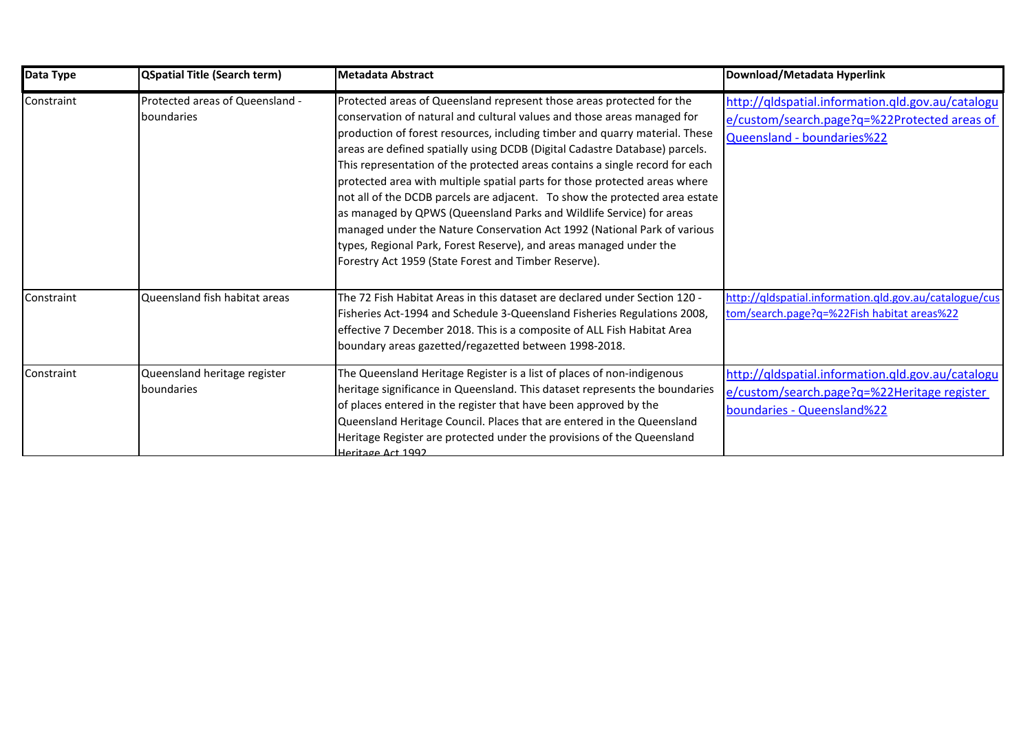| Data Type  | QSpatial Title (Search term)                  | <b>Metadata Abstract</b>                                                                                                                                                                                                                                                                                                                                                                                                                                                                                                                                                                                                                                                                                                                                                                                                                      | Download/Metadata Hyperlink                                                                                                     |
|------------|-----------------------------------------------|-----------------------------------------------------------------------------------------------------------------------------------------------------------------------------------------------------------------------------------------------------------------------------------------------------------------------------------------------------------------------------------------------------------------------------------------------------------------------------------------------------------------------------------------------------------------------------------------------------------------------------------------------------------------------------------------------------------------------------------------------------------------------------------------------------------------------------------------------|---------------------------------------------------------------------------------------------------------------------------------|
| Constraint | Protected areas of Queensland -<br>boundaries | Protected areas of Queensland represent those areas protected for the<br>conservation of natural and cultural values and those areas managed for<br>production of forest resources, including timber and quarry material. These<br>areas are defined spatially using DCDB (Digital Cadastre Database) parcels.<br>This representation of the protected areas contains a single record for each<br>protected area with multiple spatial parts for those protected areas where<br>not all of the DCDB parcels are adjacent. To show the protected area estate<br>as managed by QPWS (Queensland Parks and Wildlife Service) for areas<br>managed under the Nature Conservation Act 1992 (National Park of various<br>types, Regional Park, Forest Reserve), and areas managed under the<br>Forestry Act 1959 (State Forest and Timber Reserve). | http://qldspatial.information.qld.gov.au/catalogu<br>e/custom/search.page?q=%22Protected areas of<br>Queensland - boundaries%22 |
| Constraint | Queensland fish habitat areas                 | The 72 Fish Habitat Areas in this dataset are declared under Section 120 -<br>Fisheries Act-1994 and Schedule 3-Queensland Fisheries Regulations 2008,<br>effective 7 December 2018. This is a composite of ALL Fish Habitat Area<br>boundary areas gazetted/regazetted between 1998-2018.                                                                                                                                                                                                                                                                                                                                                                                                                                                                                                                                                    | http://qldspatial.information.qld.gov.au/catalogue/cus<br>tom/search.page?q=%22Fish habitat areas%22                            |
| Constraint | Queensland heritage register<br>boundaries    | The Queensland Heritage Register is a list of places of non-indigenous<br>heritage significance in Queensland. This dataset represents the boundaries<br>of places entered in the register that have been approved by the<br>Queensland Heritage Council. Places that are entered in the Queensland<br>Heritage Register are protected under the provisions of the Queensland<br>Heritage Act 1992                                                                                                                                                                                                                                                                                                                                                                                                                                            | http://qldspatial.information.qld.gov.au/catalogu<br>e/custom/search.page?q=%22Heritage register<br>boundaries - Queensland%22  |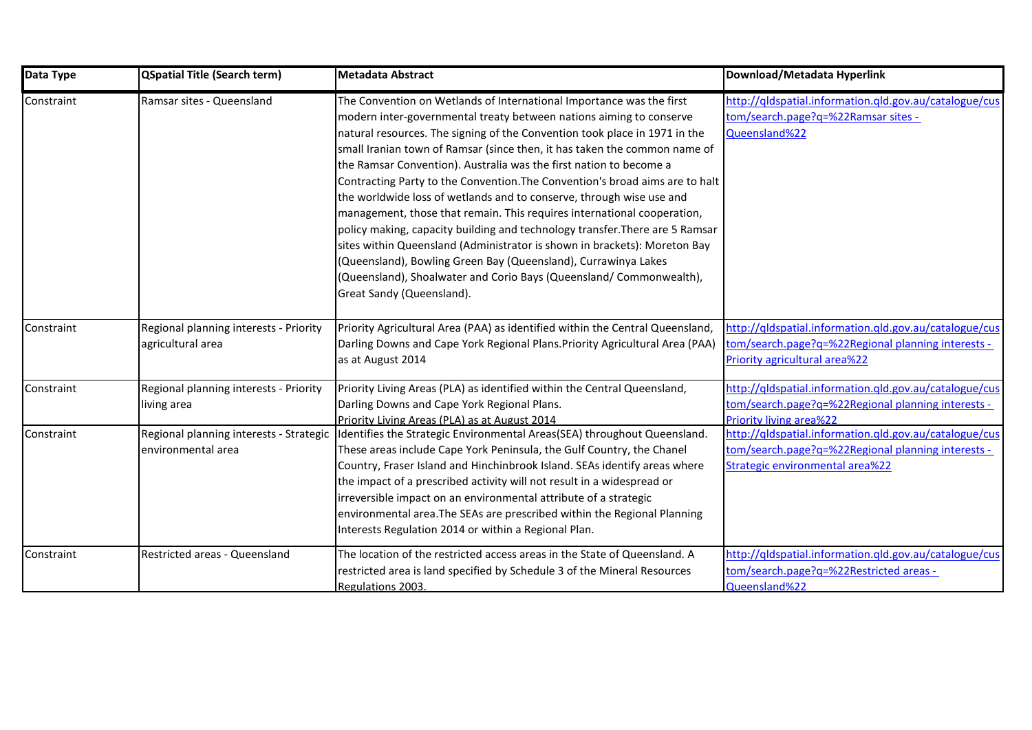| Data Type  | <b>QSpatial Title (Search term)</b>                           | <b>Metadata Abstract</b>                                                                                                                                                                                                                                                                                                                                                                                                                                                                                                                                                                                                                                                                                                                                                                                                                                                                                                                           | Download/Metadata Hyperlink                                                                                                                     |
|------------|---------------------------------------------------------------|----------------------------------------------------------------------------------------------------------------------------------------------------------------------------------------------------------------------------------------------------------------------------------------------------------------------------------------------------------------------------------------------------------------------------------------------------------------------------------------------------------------------------------------------------------------------------------------------------------------------------------------------------------------------------------------------------------------------------------------------------------------------------------------------------------------------------------------------------------------------------------------------------------------------------------------------------|-------------------------------------------------------------------------------------------------------------------------------------------------|
| Constraint | Ramsar sites - Queensland                                     | The Convention on Wetlands of International Importance was the first<br>modern inter-governmental treaty between nations aiming to conserve<br>natural resources. The signing of the Convention took place in 1971 in the<br>small Iranian town of Ramsar (since then, it has taken the common name of<br>the Ramsar Convention). Australia was the first nation to become a<br>Contracting Party to the Convention. The Convention's broad aims are to halt<br>the worldwide loss of wetlands and to conserve, through wise use and<br>management, those that remain. This requires international cooperation,<br>policy making, capacity building and technology transfer. There are 5 Ramsar<br>sites within Queensland (Administrator is shown in brackets): Moreton Bay<br>(Queensland), Bowling Green Bay (Queensland), Currawinya Lakes<br>(Queensland), Shoalwater and Corio Bays (Queensland/ Commonwealth),<br>Great Sandy (Queensland). | http://qldspatial.information.qld.gov.au/catalogue/cus<br>tom/search.page?q=%22Ramsar sites -<br>Queensland%22                                  |
| Constraint | Regional planning interests - Priority<br>agricultural area   | Priority Agricultural Area (PAA) as identified within the Central Queensland,<br>Darling Downs and Cape York Regional Plans. Priority Agricultural Area (PAA)<br>as at August 2014                                                                                                                                                                                                                                                                                                                                                                                                                                                                                                                                                                                                                                                                                                                                                                 | http://qldspatial.information.qld.gov.au/catalogue/cus<br>tom/search.page?q=%22Regional planning interests -<br>Priority agricultural area%22   |
| Constraint | Regional planning interests - Priority<br>living area         | Priority Living Areas (PLA) as identified within the Central Queensland,<br>Darling Downs and Cape York Regional Plans.<br>Priority Living Areas (PLA) as at August 2014                                                                                                                                                                                                                                                                                                                                                                                                                                                                                                                                                                                                                                                                                                                                                                           | http://qldspatial.information.qld.gov.au/catalogue/cus<br>tom/search.page?q=%22Regional planning interests -<br><b>Priority living area%22</b>  |
| Constraint | Regional planning interests - Strategic<br>environmental area | Identifies the Strategic Environmental Areas(SEA) throughout Queensland.<br>These areas include Cape York Peninsula, the Gulf Country, the Chanel<br>Country, Fraser Island and Hinchinbrook Island. SEAs identify areas where<br>the impact of a prescribed activity will not result in a widespread or<br>irreversible impact on an environmental attribute of a strategic<br>environmental area. The SEAs are prescribed within the Regional Planning<br>Interests Regulation 2014 or within a Regional Plan.                                                                                                                                                                                                                                                                                                                                                                                                                                   | http://qldspatial.information.qld.gov.au/catalogue/cus<br>tom/search.page?q=%22Regional planning interests -<br>Strategic environmental area%22 |
| Constraint | Restricted areas - Queensland                                 | The location of the restricted access areas in the State of Queensland. A<br>restricted area is land specified by Schedule 3 of the Mineral Resources<br>Regulations 2003.                                                                                                                                                                                                                                                                                                                                                                                                                                                                                                                                                                                                                                                                                                                                                                         | http://qldspatial.information.qld.gov.au/catalogue/cus<br>tom/search.page?q=%22Restricted areas -<br>Queensland%22                              |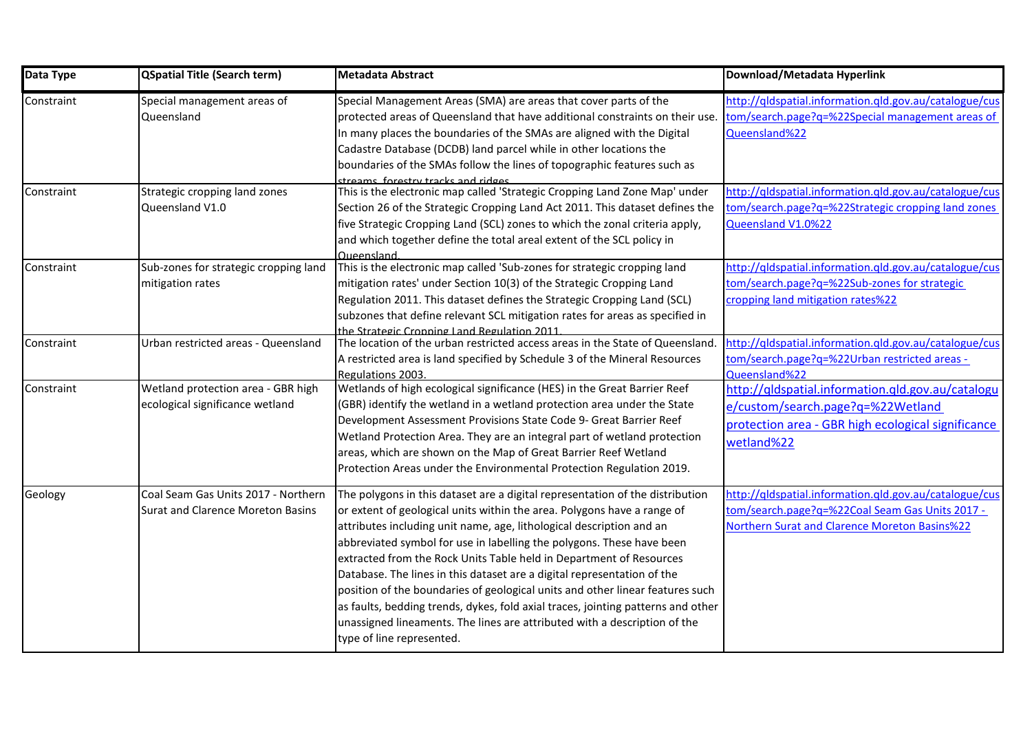| Data Type  | <b>QSpatial Title (Search term)</b>                                             | <b>Metadata Abstract</b>                                                                                                                                                                                                                                                                                                                                                                                                                                                                                                                                                                                                                                                                                                                   | Download/Metadata Hyperlink                                                                                                                                |
|------------|---------------------------------------------------------------------------------|--------------------------------------------------------------------------------------------------------------------------------------------------------------------------------------------------------------------------------------------------------------------------------------------------------------------------------------------------------------------------------------------------------------------------------------------------------------------------------------------------------------------------------------------------------------------------------------------------------------------------------------------------------------------------------------------------------------------------------------------|------------------------------------------------------------------------------------------------------------------------------------------------------------|
| Constraint | Special management areas of<br>Queensland                                       | Special Management Areas (SMA) are areas that cover parts of the<br>protected areas of Queensland that have additional constraints on their use.<br>In many places the boundaries of the SMAs are aligned with the Digital<br>Cadastre Database (DCDB) land parcel while in other locations the<br>boundaries of the SMAs follow the lines of topographic features such as<br>streams forestry tracks and ridges                                                                                                                                                                                                                                                                                                                           | http://gldspatial.information.gld.gov.au/catalogue/cus<br>tom/search.page?q=%22Special management areas of<br>Queensland%22                                |
| Constraint | Strategic cropping land zones<br>Queensland V1.0                                | This is the electronic map called 'Strategic Cropping Land Zone Map' under<br>Section 26 of the Strategic Cropping Land Act 2011. This dataset defines the<br>five Strategic Cropping Land (SCL) zones to which the zonal criteria apply,<br>and which together define the total areal extent of the SCL policy in<br>Queensland                                                                                                                                                                                                                                                                                                                                                                                                           | http://qldspatial.information.qld.gov.au/catalogue/cus<br>tom/search.page?q=%22Strategic cropping land zones<br>Queensland V1.0%22                         |
| Constraint | Sub-zones for strategic cropping land<br>mitigation rates                       | This is the electronic map called 'Sub-zones for strategic cropping land<br>mitigation rates' under Section 10(3) of the Strategic Cropping Land<br>Regulation 2011. This dataset defines the Strategic Cropping Land (SCL)<br>subzones that define relevant SCL mitigation rates for areas as specified in<br>the Strategic Cronning Land Regulation 2011                                                                                                                                                                                                                                                                                                                                                                                 | http://qldspatial.information.qld.gov.au/catalogue/cus<br>tom/search.page?q=%22Sub-zones for strategic<br>cropping land mitigation rates%22                |
| Constraint | Urban restricted areas - Queensland                                             | The location of the urban restricted access areas in the State of Queensland.<br>A restricted area is land specified by Schedule 3 of the Mineral Resources<br>Regulations 2003.                                                                                                                                                                                                                                                                                                                                                                                                                                                                                                                                                           | http://qldspatial.information.qld.gov.au/catalogue/cus<br>tom/search.page?q=%22Urban restricted areas -<br>Queensland%22                                   |
| Constraint | Wetland protection area - GBR high<br>ecological significance wetland           | Wetlands of high ecological significance (HES) in the Great Barrier Reef<br>(GBR) identify the wetland in a wetland protection area under the State<br>Development Assessment Provisions State Code 9- Great Barrier Reef<br>Wetland Protection Area. They are an integral part of wetland protection<br>areas, which are shown on the Map of Great Barrier Reef Wetland<br>Protection Areas under the Environmental Protection Regulation 2019.                                                                                                                                                                                                                                                                                           | http://qldspatial.information.qld.gov.au/catalogu<br>e/custom/search.page?q=%22Wetland<br>protection area - GBR high ecological significance<br>wetland%22 |
| Geology    | Coal Seam Gas Units 2017 - Northern<br><b>Surat and Clarence Moreton Basins</b> | The polygons in this dataset are a digital representation of the distribution<br>or extent of geological units within the area. Polygons have a range of<br>attributes including unit name, age, lithological description and an<br>abbreviated symbol for use in labelling the polygons. These have been<br>extracted from the Rock Units Table held in Department of Resources<br>Database. The lines in this dataset are a digital representation of the<br>position of the boundaries of geological units and other linear features such<br>as faults, bedding trends, dykes, fold axial traces, jointing patterns and other<br>unassigned lineaments. The lines are attributed with a description of the<br>type of line represented. | http://qldspatial.information.qld.gov.au/catalogue/cus<br>tom/search.page?q=%22Coal Seam Gas Units 2017 -<br>Northern Surat and Clarence Moreton Basins%22 |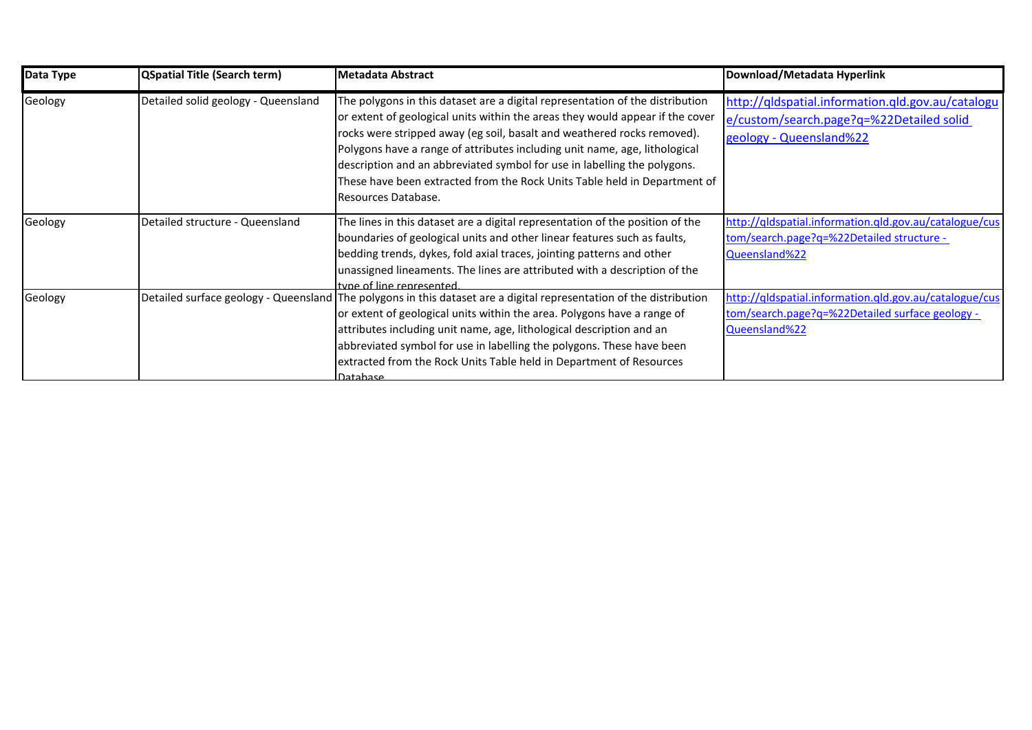| Data Type | <b>QSpatial Title (Search term)</b> | <b>Metadata Abstract</b>                                                                                                                                                                                                                                                                                                                                                                                                                                                                                | Download/Metadata Hyperlink                                                                                                |
|-----------|-------------------------------------|---------------------------------------------------------------------------------------------------------------------------------------------------------------------------------------------------------------------------------------------------------------------------------------------------------------------------------------------------------------------------------------------------------------------------------------------------------------------------------------------------------|----------------------------------------------------------------------------------------------------------------------------|
| Geology   | Detailed solid geology - Queensland | The polygons in this dataset are a digital representation of the distribution<br>or extent of geological units within the areas they would appear if the cover<br>rocks were stripped away (eg soil, basalt and weathered rocks removed).<br>Polygons have a range of attributes including unit name, age, lithological<br>description and an abbreviated symbol for use in labelling the polygons.<br>These have been extracted from the Rock Units Table held in Department of<br>Resources Database. | http://qldspatial.information.qld.gov.au/catalogu<br>e/custom/search.page?q=%22Detailed solid<br>geology - Queensland%22   |
| Geology   | Detailed structure - Queensland     | The lines in this dataset are a digital representation of the position of the<br>boundaries of geological units and other linear features such as faults,<br>bedding trends, dykes, fold axial traces, jointing patterns and other<br>unassigned lineaments. The lines are attributed with a description of the<br>tyne of line represented                                                                                                                                                             | http://qldspatial.information.gld.gov.au/catalogue/cus<br>tom/search.page?q=%22Detailed structure -<br>Queensland%22       |
| Geology   |                                     | Detailed surface geology - Queensland The polygons in this dataset are a digital representation of the distribution<br>or extent of geological units within the area. Polygons have a range of<br>attributes including unit name, age, lithological description and an<br>abbreviated symbol for use in labelling the polygons. These have been<br>extracted from the Rock Units Table held in Department of Resources<br>Datahase                                                                      | http://qldspatial.information.qld.gov.au/catalogue/cus<br>tom/search.page?q=%22Detailed surface geology -<br>Queensland%22 |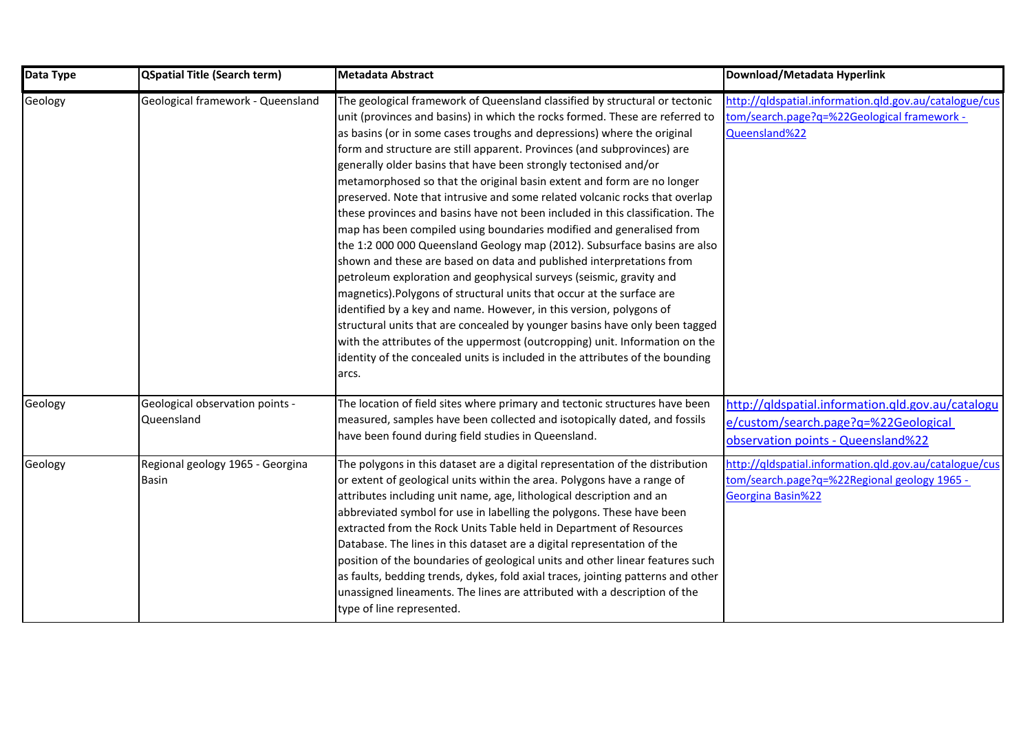| Data Type | <b>QSpatial Title (Search term)</b>              | Metadata Abstract                                                                                                                                                                                                                                                                                                                                                                                                                                                                                                                                                                                                                                                                                                                                                                                                                                                                                                                                                                                                                                                                                                                                                                                                                                                                                                                            | Download/Metadata Hyperlink                                                                                                     |
|-----------|--------------------------------------------------|----------------------------------------------------------------------------------------------------------------------------------------------------------------------------------------------------------------------------------------------------------------------------------------------------------------------------------------------------------------------------------------------------------------------------------------------------------------------------------------------------------------------------------------------------------------------------------------------------------------------------------------------------------------------------------------------------------------------------------------------------------------------------------------------------------------------------------------------------------------------------------------------------------------------------------------------------------------------------------------------------------------------------------------------------------------------------------------------------------------------------------------------------------------------------------------------------------------------------------------------------------------------------------------------------------------------------------------------|---------------------------------------------------------------------------------------------------------------------------------|
| Geology   | Geological framework - Queensland                | The geological framework of Queensland classified by structural or tectonic<br>unit (provinces and basins) in which the rocks formed. These are referred to<br>as basins (or in some cases troughs and depressions) where the original<br>form and structure are still apparent. Provinces (and subprovinces) are<br>generally older basins that have been strongly tectonised and/or<br>metamorphosed so that the original basin extent and form are no longer<br>preserved. Note that intrusive and some related volcanic rocks that overlap<br>these provinces and basins have not been included in this classification. The<br>map has been compiled using boundaries modified and generalised from<br>the 1:2 000 000 Queensland Geology map (2012). Subsurface basins are also<br>shown and these are based on data and published interpretations from<br>petroleum exploration and geophysical surveys (seismic, gravity and<br>magnetics). Polygons of structural units that occur at the surface are<br>identified by a key and name. However, in this version, polygons of<br>structural units that are concealed by younger basins have only been tagged<br>with the attributes of the uppermost (outcropping) unit. Information on the<br>identity of the concealed units is included in the attributes of the bounding<br>arcs. | http://qldspatial.information.qld.gov.au/catalogue/cus<br>tom/search.page?q=%22Geological framework -<br>Queensland%22          |
| Geology   | Geological observation points -<br>Queensland    | The location of field sites where primary and tectonic structures have been<br>measured, samples have been collected and isotopically dated, and fossils<br>have been found during field studies in Queensland.                                                                                                                                                                                                                                                                                                                                                                                                                                                                                                                                                                                                                                                                                                                                                                                                                                                                                                                                                                                                                                                                                                                              | http://qldspatial.information.qld.gov.au/catalogu<br>e/custom/search.page?q=%22Geological<br>observation points - Queensland%22 |
| Geology   | Regional geology 1965 - Georgina<br><b>Basin</b> | The polygons in this dataset are a digital representation of the distribution<br>or extent of geological units within the area. Polygons have a range of<br>attributes including unit name, age, lithological description and an<br>abbreviated symbol for use in labelling the polygons. These have been<br>extracted from the Rock Units Table held in Department of Resources<br>Database. The lines in this dataset are a digital representation of the<br>position of the boundaries of geological units and other linear features such<br>as faults, bedding trends, dykes, fold axial traces, jointing patterns and other<br>unassigned lineaments. The lines are attributed with a description of the<br>type of line represented.                                                                                                                                                                                                                                                                                                                                                                                                                                                                                                                                                                                                   | http://qldspatial.information.qld.gov.au/catalogue/cus<br>tom/search.page?q=%22Regional geology 1965 -<br>Georgina Basin%22     |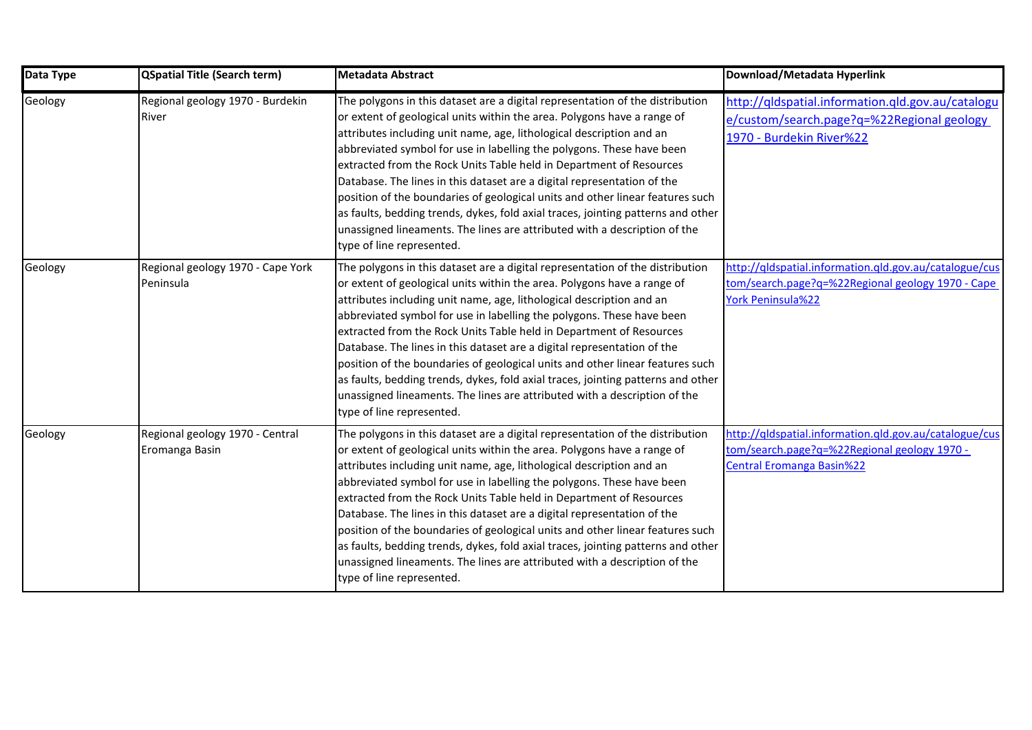| Data Type | <b>QSpatial Title (Search term)</b>               | <b>Metadata Abstract</b>                                                                                                                                                                                                                                                                                                                                                                                                                                                                                                                                                                                                                                                                                                                   | Download/Metadata Hyperlink                                                                                                                |
|-----------|---------------------------------------------------|--------------------------------------------------------------------------------------------------------------------------------------------------------------------------------------------------------------------------------------------------------------------------------------------------------------------------------------------------------------------------------------------------------------------------------------------------------------------------------------------------------------------------------------------------------------------------------------------------------------------------------------------------------------------------------------------------------------------------------------------|--------------------------------------------------------------------------------------------------------------------------------------------|
| Geology   | Regional geology 1970 - Burdekin<br>River         | The polygons in this dataset are a digital representation of the distribution<br>or extent of geological units within the area. Polygons have a range of<br>attributes including unit name, age, lithological description and an<br>abbreviated symbol for use in labelling the polygons. These have been<br>extracted from the Rock Units Table held in Department of Resources<br>Database. The lines in this dataset are a digital representation of the<br>position of the boundaries of geological units and other linear features such<br>as faults, bedding trends, dykes, fold axial traces, jointing patterns and other<br>unassigned lineaments. The lines are attributed with a description of the<br>type of line represented. | http://qldspatial.information.qld.gov.au/catalogu<br>e/custom/search.page?q=%22Regional geology<br>1970 - Burdekin River%22                |
| Geology   | Regional geology 1970 - Cape York<br>Peninsula    | The polygons in this dataset are a digital representation of the distribution<br>or extent of geological units within the area. Polygons have a range of<br>attributes including unit name, age, lithological description and an<br>abbreviated symbol for use in labelling the polygons. These have been<br>extracted from the Rock Units Table held in Department of Resources<br>Database. The lines in this dataset are a digital representation of the<br>position of the boundaries of geological units and other linear features such<br>as faults, bedding trends, dykes, fold axial traces, jointing patterns and other<br>unassigned lineaments. The lines are attributed with a description of the<br>type of line represented. | http://gldspatial.information.gld.gov.au/catalogue/cus<br>tom/search.page?q=%22Regional geology 1970 - Cape<br><b>York Peninsula%22</b>    |
| Geology   | Regional geology 1970 - Central<br>Eromanga Basin | The polygons in this dataset are a digital representation of the distribution<br>or extent of geological units within the area. Polygons have a range of<br>attributes including unit name, age, lithological description and an<br>abbreviated symbol for use in labelling the polygons. These have been<br>extracted from the Rock Units Table held in Department of Resources<br>Database. The lines in this dataset are a digital representation of the<br>position of the boundaries of geological units and other linear features such<br>as faults, bedding trends, dykes, fold axial traces, jointing patterns and other<br>unassigned lineaments. The lines are attributed with a description of the<br>type of line represented. | http://qldspatial.information.qld.gov.au/catalogue/cus<br>tom/search.page?q=%22Regional geology 1970 -<br><b>Central Eromanga Basin%22</b> |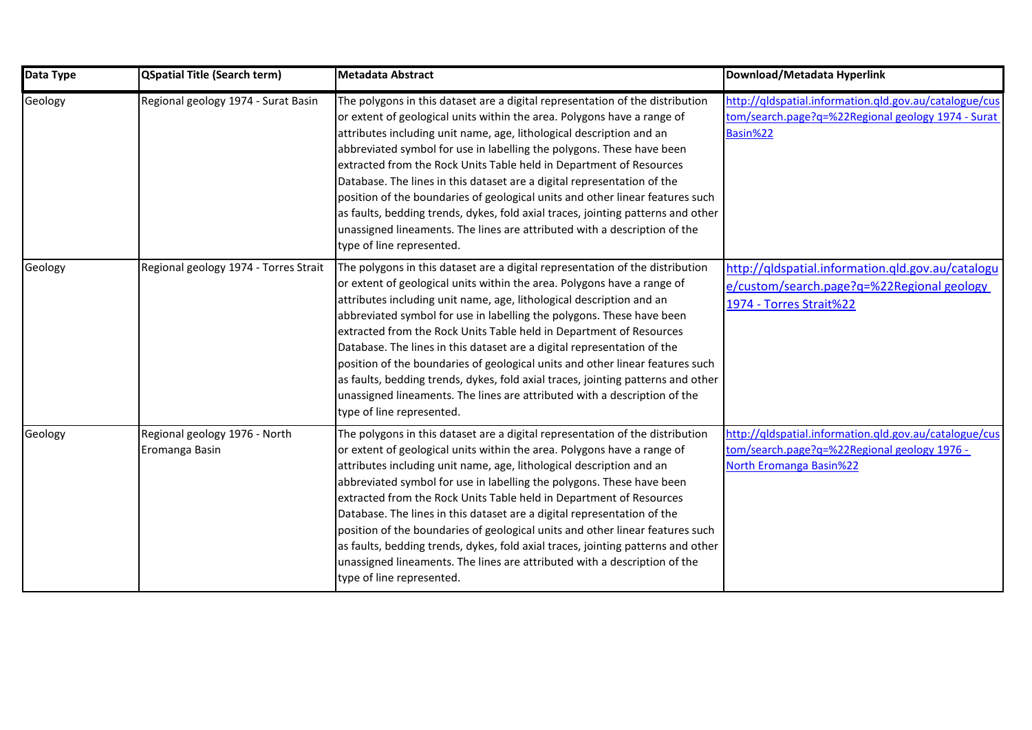| Data Type | <b>QSpatial Title (Search term)</b>             | Metadata Abstract                                                                                                                                                                                                                                                                                                                                                                                                                                                                                                                                                                                                                                                                                                                          | Download/Metadata Hyperlink                                                                                                              |
|-----------|-------------------------------------------------|--------------------------------------------------------------------------------------------------------------------------------------------------------------------------------------------------------------------------------------------------------------------------------------------------------------------------------------------------------------------------------------------------------------------------------------------------------------------------------------------------------------------------------------------------------------------------------------------------------------------------------------------------------------------------------------------------------------------------------------------|------------------------------------------------------------------------------------------------------------------------------------------|
| Geology   | Regional geology 1974 - Surat Basin             | The polygons in this dataset are a digital representation of the distribution<br>or extent of geological units within the area. Polygons have a range of<br>attributes including unit name, age, lithological description and an<br>abbreviated symbol for use in labelling the polygons. These have been<br>extracted from the Rock Units Table held in Department of Resources<br>Database. The lines in this dataset are a digital representation of the<br>position of the boundaries of geological units and other linear features such<br>as faults, bedding trends, dykes, fold axial traces, jointing patterns and other<br>unassigned lineaments. The lines are attributed with a description of the<br>type of line represented. | http://gldspatial.information.gld.gov.au/catalogue/cus<br>tom/search.page?q=%22Regional geology 1974 - Surat<br>Basin%22                 |
| Geology   | Regional geology 1974 - Torres Strait           | The polygons in this dataset are a digital representation of the distribution<br>or extent of geological units within the area. Polygons have a range of<br>attributes including unit name, age, lithological description and an<br>abbreviated symbol for use in labelling the polygons. These have been<br>extracted from the Rock Units Table held in Department of Resources<br>Database. The lines in this dataset are a digital representation of the<br>position of the boundaries of geological units and other linear features such<br>as faults, bedding trends, dykes, fold axial traces, jointing patterns and other<br>unassigned lineaments. The lines are attributed with a description of the<br>type of line represented. | http://qldspatial.information.qld.gov.au/catalogu<br>e/custom/search.page?q=%22Regional geology<br>1974 - Torres Strait%22               |
| Geology   | Regional geology 1976 - North<br>Eromanga Basin | The polygons in this dataset are a digital representation of the distribution<br>or extent of geological units within the area. Polygons have a range of<br>attributes including unit name, age, lithological description and an<br>abbreviated symbol for use in labelling the polygons. These have been<br>extracted from the Rock Units Table held in Department of Resources<br>Database. The lines in this dataset are a digital representation of the<br>position of the boundaries of geological units and other linear features such<br>as faults, bedding trends, dykes, fold axial traces, jointing patterns and other<br>unassigned lineaments. The lines are attributed with a description of the<br>type of line represented. | http://gldspatial.information.gld.gov.au/catalogue/cus<br>tom/search.page?q=%22Regional geology 1976 -<br><b>North Eromanga Basin%22</b> |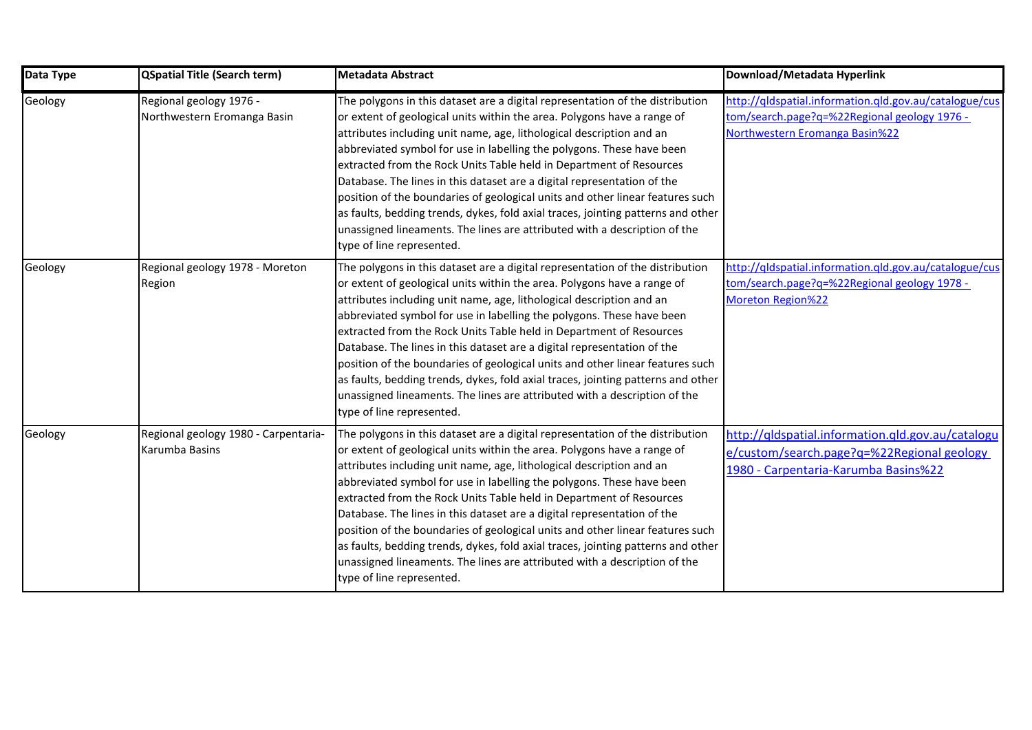| Data Type | <b>QSpatial Title (Search term)</b>                    | <b>Metadata Abstract</b>                                                                                                                                                                                                                                                                                                                                                                                                                                                                                                                                                                                                                                                                                                                   | Download/Metadata Hyperlink                                                                                                              |
|-----------|--------------------------------------------------------|--------------------------------------------------------------------------------------------------------------------------------------------------------------------------------------------------------------------------------------------------------------------------------------------------------------------------------------------------------------------------------------------------------------------------------------------------------------------------------------------------------------------------------------------------------------------------------------------------------------------------------------------------------------------------------------------------------------------------------------------|------------------------------------------------------------------------------------------------------------------------------------------|
| Geology   | Regional geology 1976 -<br>Northwestern Eromanga Basin | The polygons in this dataset are a digital representation of the distribution<br>or extent of geological units within the area. Polygons have a range of<br>attributes including unit name, age, lithological description and an<br>abbreviated symbol for use in labelling the polygons. These have been<br>extracted from the Rock Units Table held in Department of Resources<br>Database. The lines in this dataset are a digital representation of the<br>position of the boundaries of geological units and other linear features such<br>as faults, bedding trends, dykes, fold axial traces, jointing patterns and other<br>unassigned lineaments. The lines are attributed with a description of the<br>type of line represented. | http://gldspatial.information.gld.gov.au/catalogue/cus<br>tom/search.page?q=%22Regional geology 1976 -<br>Northwestern Eromanga Basin%22 |
| Geology   | Regional geology 1978 - Moreton<br>Region              | The polygons in this dataset are a digital representation of the distribution<br>or extent of geological units within the area. Polygons have a range of<br>attributes including unit name, age, lithological description and an<br>abbreviated symbol for use in labelling the polygons. These have been<br>extracted from the Rock Units Table held in Department of Resources<br>Database. The lines in this dataset are a digital representation of the<br>position of the boundaries of geological units and other linear features such<br>as faults, bedding trends, dykes, fold axial traces, jointing patterns and other<br>unassigned lineaments. The lines are attributed with a description of the<br>type of line represented. | http://qldspatial.information.qld.gov.au/catalogue/cus<br>tom/search.page?q=%22Regional geology 1978 -<br><b>Moreton Region%22</b>       |
| Geology   | Regional geology 1980 - Carpentaria-<br>Karumba Basins | The polygons in this dataset are a digital representation of the distribution<br>or extent of geological units within the area. Polygons have a range of<br>attributes including unit name, age, lithological description and an<br>abbreviated symbol for use in labelling the polygons. These have been<br>extracted from the Rock Units Table held in Department of Resources<br>Database. The lines in this dataset are a digital representation of the<br>position of the boundaries of geological units and other linear features such<br>as faults, bedding trends, dykes, fold axial traces, jointing patterns and other<br>unassigned lineaments. The lines are attributed with a description of the<br>type of line represented. | http://gldspatial.information.gld.gov.au/catalogu<br>e/custom/search.page?q=%22Regional geology<br>1980 - Carpentaria-Karumba Basins%22  |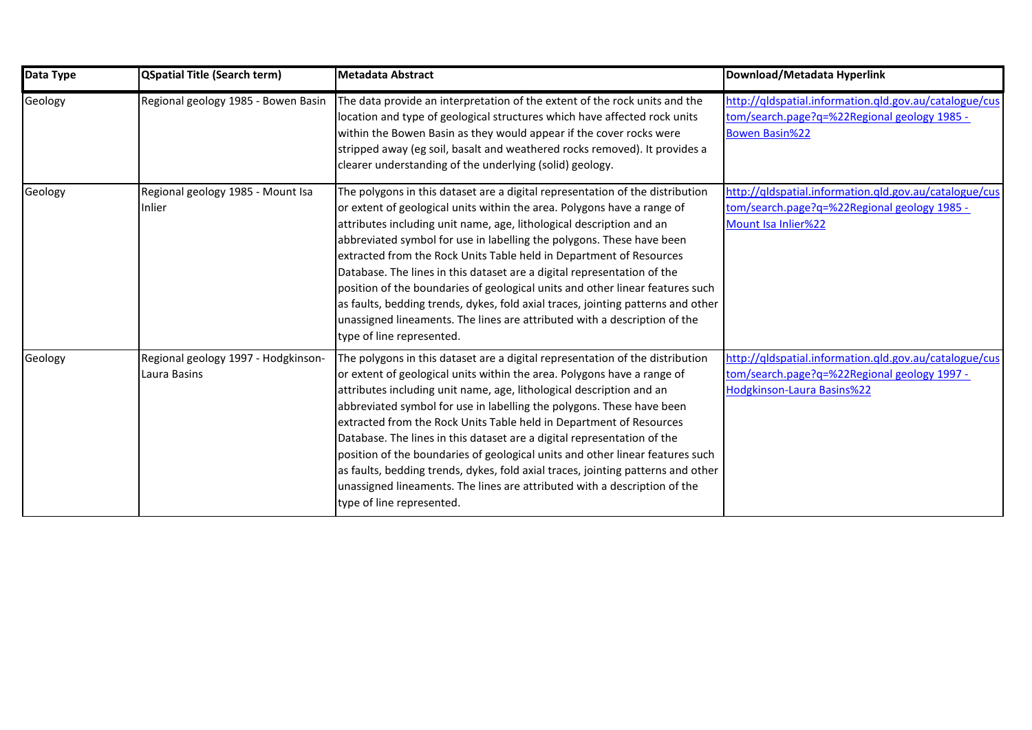| Data Type | <b>QSpatial Title (Search term)</b>                 | <b>Metadata Abstract</b>                                                                                                                                                                                                                                                                                                                                                                                                                                                                                                                                                                                                                                                                                                                   | Download/Metadata Hyperlink                                                                                                          |
|-----------|-----------------------------------------------------|--------------------------------------------------------------------------------------------------------------------------------------------------------------------------------------------------------------------------------------------------------------------------------------------------------------------------------------------------------------------------------------------------------------------------------------------------------------------------------------------------------------------------------------------------------------------------------------------------------------------------------------------------------------------------------------------------------------------------------------------|--------------------------------------------------------------------------------------------------------------------------------------|
| Geology   | Regional geology 1985 - Bowen Basin                 | The data provide an interpretation of the extent of the rock units and the<br>location and type of geological structures which have affected rock units<br>within the Bowen Basin as they would appear if the cover rocks were<br>stripped away (eg soil, basalt and weathered rocks removed). It provides a<br>clearer understanding of the underlying (solid) geology.                                                                                                                                                                                                                                                                                                                                                                   | http://qldspatial.information.qld.gov.au/catalogue/cus<br>tom/search.page?q=%22Regional geology 1985 -<br><b>Bowen Basin%22</b>      |
| Geology   | Regional geology 1985 - Mount Isa<br>Inlier         | The polygons in this dataset are a digital representation of the distribution<br>or extent of geological units within the area. Polygons have a range of<br>attributes including unit name, age, lithological description and an<br>abbreviated symbol for use in labelling the polygons. These have been<br>extracted from the Rock Units Table held in Department of Resources<br>Database. The lines in this dataset are a digital representation of the<br>position of the boundaries of geological units and other linear features such<br>as faults, bedding trends, dykes, fold axial traces, jointing patterns and other<br>unassigned lineaments. The lines are attributed with a description of the<br>type of line represented. | http://qldspatial.information.qld.gov.au/catalogue/cus<br>tom/search.page?q=%22Regional geology 1985 -<br>Mount Isa Inlier%22        |
| Geology   | Regional geology 1997 - Hodgkinson-<br>Laura Basins | The polygons in this dataset are a digital representation of the distribution<br>or extent of geological units within the area. Polygons have a range of<br>attributes including unit name, age, lithological description and an<br>abbreviated symbol for use in labelling the polygons. These have been<br>extracted from the Rock Units Table held in Department of Resources<br>Database. The lines in this dataset are a digital representation of the<br>position of the boundaries of geological units and other linear features such<br>as faults, bedding trends, dykes, fold axial traces, jointing patterns and other<br>unassigned lineaments. The lines are attributed with a description of the<br>type of line represented. | http://qldspatial.information.qld.gov.au/catalogue/cus<br>tom/search.page?q=%22Regional geology 1997 -<br>Hodgkinson-Laura Basins%22 |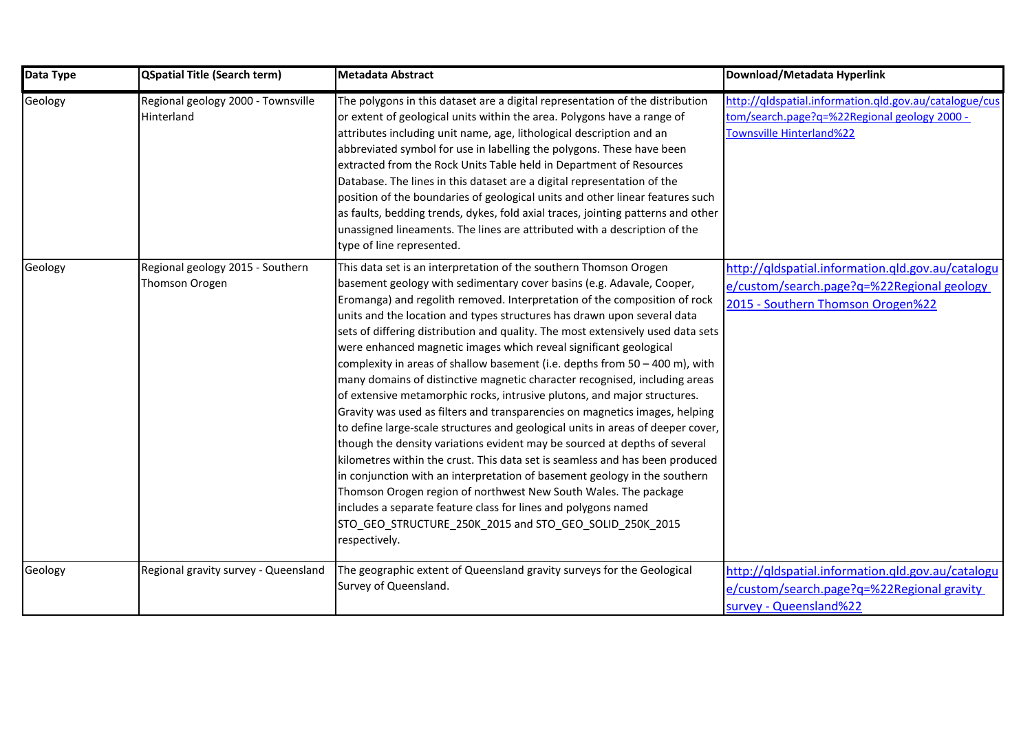| Data Type | <b>QSpatial Title (Search term)</b>                | <b>Metadata Abstract</b>                                                                                                                                                                                                                                                                                                                                                                                                                                                                                                                                                                                                                                                                                                                                                                                                                                                                                                                                                                                                                                                                                                                                                                                                                                                                                                         | Download/Metadata Hyperlink                                                                                                          |
|-----------|----------------------------------------------------|----------------------------------------------------------------------------------------------------------------------------------------------------------------------------------------------------------------------------------------------------------------------------------------------------------------------------------------------------------------------------------------------------------------------------------------------------------------------------------------------------------------------------------------------------------------------------------------------------------------------------------------------------------------------------------------------------------------------------------------------------------------------------------------------------------------------------------------------------------------------------------------------------------------------------------------------------------------------------------------------------------------------------------------------------------------------------------------------------------------------------------------------------------------------------------------------------------------------------------------------------------------------------------------------------------------------------------|--------------------------------------------------------------------------------------------------------------------------------------|
| Geology   | Regional geology 2000 - Townsville<br>Hinterland   | The polygons in this dataset are a digital representation of the distribution<br>or extent of geological units within the area. Polygons have a range of<br>attributes including unit name, age, lithological description and an<br>abbreviated symbol for use in labelling the polygons. These have been<br>extracted from the Rock Units Table held in Department of Resources<br>Database. The lines in this dataset are a digital representation of the<br>position of the boundaries of geological units and other linear features such<br>as faults, bedding trends, dykes, fold axial traces, jointing patterns and other<br>unassigned lineaments. The lines are attributed with a description of the<br>type of line represented.                                                                                                                                                                                                                                                                                                                                                                                                                                                                                                                                                                                       | http://qldspatial.information.gld.gov.au/catalogue/cus<br>tom/search.page?q=%22Regional geology 2000 -<br>Townsville Hinterland%22   |
| Geology   | Regional geology 2015 - Southern<br>Thomson Orogen | This data set is an interpretation of the southern Thomson Orogen<br>basement geology with sedimentary cover basins (e.g. Adavale, Cooper,<br>Eromanga) and regolith removed. Interpretation of the composition of rock<br>units and the location and types structures has drawn upon several data<br>sets of differing distribution and quality. The most extensively used data sets<br>were enhanced magnetic images which reveal significant geological<br>complexity in areas of shallow basement (i.e. depths from 50 - 400 m), with<br>many domains of distinctive magnetic character recognised, including areas<br>of extensive metamorphic rocks, intrusive plutons, and major structures.<br>Gravity was used as filters and transparencies on magnetics images, helping<br>to define large-scale structures and geological units in areas of deeper cover,<br>though the density variations evident may be sourced at depths of several<br>kilometres within the crust. This data set is seamless and has been produced<br>in conjunction with an interpretation of basement geology in the southern<br>Thomson Orogen region of northwest New South Wales. The package<br>includes a separate feature class for lines and polygons named<br>STO_GEO_STRUCTURE_250K_2015 and STO_GEO_SOLID_250K_2015<br>respectively. | http://qldspatial.information.qld.gov.au/catalogu<br>e/custom/search.page?q=%22Regional geology<br>2015 - Southern Thomson Orogen%22 |
| Geology   | Regional gravity survey - Queensland               | The geographic extent of Queensland gravity surveys for the Geological<br>Survey of Queensland.                                                                                                                                                                                                                                                                                                                                                                                                                                                                                                                                                                                                                                                                                                                                                                                                                                                                                                                                                                                                                                                                                                                                                                                                                                  | http://qldspatial.information.qld.gov.au/catalogu<br>e/custom/search.page?q=%22Regional gravity<br>survey - Queensland%22            |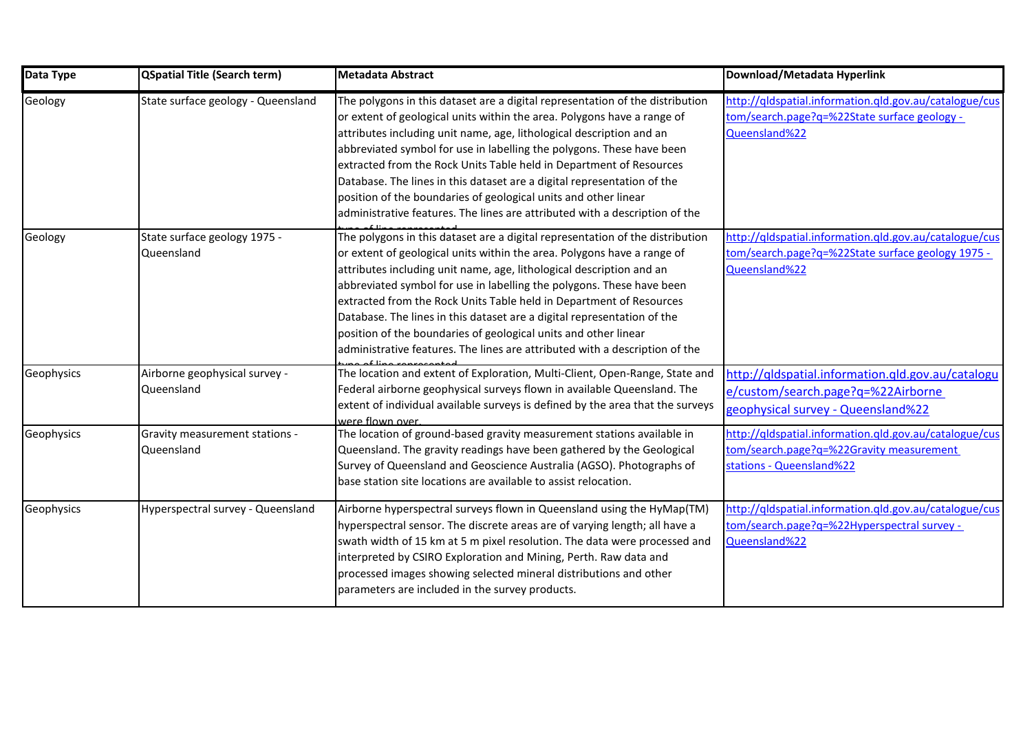| Data Type  | <b>QSpatial Title (Search term)</b>          | <b>Metadata Abstract</b>                                                                                                                                                                                                                                                                                                                                                                                                                                                                                                                                                                                      | Download/Metadata Hyperlink                                                                                                    |
|------------|----------------------------------------------|---------------------------------------------------------------------------------------------------------------------------------------------------------------------------------------------------------------------------------------------------------------------------------------------------------------------------------------------------------------------------------------------------------------------------------------------------------------------------------------------------------------------------------------------------------------------------------------------------------------|--------------------------------------------------------------------------------------------------------------------------------|
| Geology    | State surface geology - Queensland           | The polygons in this dataset are a digital representation of the distribution<br>or extent of geological units within the area. Polygons have a range of<br>attributes including unit name, age, lithological description and an<br>abbreviated symbol for use in labelling the polygons. These have been<br>extracted from the Rock Units Table held in Department of Resources<br>Database. The lines in this dataset are a digital representation of the<br>position of the boundaries of geological units and other linear<br>administrative features. The lines are attributed with a description of the | http://qldspatial.information.qld.gov.au/catalogue/cus<br>tom/search.page?q=%22State surface geology -<br>Queensland%22        |
| Geology    | State surface geology 1975 -<br>Queensland   | The polygons in this dataset are a digital representation of the distribution<br>or extent of geological units within the area. Polygons have a range of<br>attributes including unit name, age, lithological description and an<br>abbreviated symbol for use in labelling the polygons. These have been<br>extracted from the Rock Units Table held in Department of Resources<br>Database. The lines in this dataset are a digital representation of the<br>position of the boundaries of geological units and other linear<br>administrative features. The lines are attributed with a description of the | http://qldspatial.information.qld.gov.au/catalogue/cus<br>tom/search.page?q=%22State surface geology 1975 -<br>Queensland%22   |
| Geophysics | Airborne geophysical survey -<br>Queensland  | The location and extent of Exploration, Multi-Client, Open-Range, State and<br>Federal airborne geophysical surveys flown in available Queensland. The<br>extent of individual available surveys is defined by the area that the surveys<br>were flown over.                                                                                                                                                                                                                                                                                                                                                  | http://qldspatial.information.gld.gov.au/catalogu<br>e/custom/search.page?q=%22Airborne<br>geophysical survey - Queensland%22  |
| Geophysics | Gravity measurement stations -<br>Queensland | The location of ground-based gravity measurement stations available in<br>Queensland. The gravity readings have been gathered by the Geological<br>Survey of Queensland and Geoscience Australia (AGSO). Photographs of<br>base station site locations are available to assist relocation.                                                                                                                                                                                                                                                                                                                    | http://qldspatial.information.qld.gov.au/catalogue/cus<br>tom/search.page?q=%22Gravity measurement<br>stations - Queensland%22 |
| Geophysics | Hyperspectral survey - Queensland            | Airborne hyperspectral surveys flown in Queensland using the HyMap(TM)<br>hyperspectral sensor. The discrete areas are of varying length; all have a<br>swath width of 15 km at 5 m pixel resolution. The data were processed and<br>interpreted by CSIRO Exploration and Mining, Perth. Raw data and<br>processed images showing selected mineral distributions and other<br>parameters are included in the survey products.                                                                                                                                                                                 | http://qldspatial.information.qld.gov.au/catalogue/cus<br>tom/search.page?q=%22Hyperspectral survey -<br>Queensland%22         |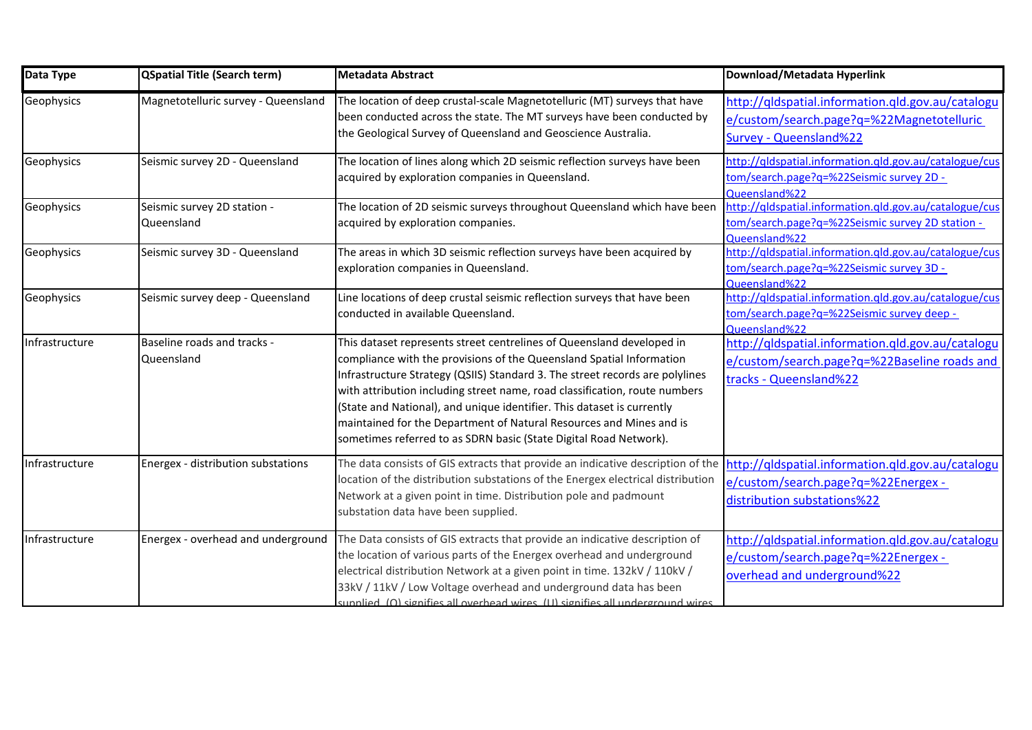| Data Type      | <b>QSpatial Title (Search term)</b>       | <b>Metadata Abstract</b>                                                                                                                                                                                                                                                                                                                                                                                                                                                                                                          | Download/Metadata Hyperlink                                                                                                 |
|----------------|-------------------------------------------|-----------------------------------------------------------------------------------------------------------------------------------------------------------------------------------------------------------------------------------------------------------------------------------------------------------------------------------------------------------------------------------------------------------------------------------------------------------------------------------------------------------------------------------|-----------------------------------------------------------------------------------------------------------------------------|
| Geophysics     | Magnetotelluric survey - Queensland       | The location of deep crustal-scale Magnetotelluric (MT) surveys that have<br>been conducted across the state. The MT surveys have been conducted by<br>the Geological Survey of Queensland and Geoscience Australia.                                                                                                                                                                                                                                                                                                              | http://qldspatial.information.qld.gov.au/catalogu<br>e/custom/search.page?q=%22Magnetotelluric<br>Survey - Queensland%22    |
| Geophysics     | Seismic survey 2D - Queensland            | The location of lines along which 2D seismic reflection surveys have been<br>acquired by exploration companies in Queensland.                                                                                                                                                                                                                                                                                                                                                                                                     | http://qldspatial.information.qld.gov.au/catalogue/cus<br>tom/search.page?q=%22Seismic survey 2D -<br>Queensland%22         |
| Geophysics     | Seismic survey 2D station -<br>Queensland | The location of 2D seismic surveys throughout Queensland which have been<br>acquired by exploration companies.                                                                                                                                                                                                                                                                                                                                                                                                                    | http://qldspatial.information.gld.gov.au/catalogue/cus<br>tom/search.page?q=%22Seismic survey 2D station -<br>Queensland%22 |
| Geophysics     | Seismic survey 3D - Queensland            | The areas in which 3D seismic reflection surveys have been acquired by<br>exploration companies in Queensland.                                                                                                                                                                                                                                                                                                                                                                                                                    | http://qldspatial.information.qld.gov.au/catalogue/cus<br>tom/search.page?q=%22Seismic survey 3D -<br>Queensland%22         |
| Geophysics     | Seismic survey deep - Queensland          | Line locations of deep crustal seismic reflection surveys that have been<br>conducted in available Queensland.                                                                                                                                                                                                                                                                                                                                                                                                                    | http://qldspatial.information.qld.gov.au/catalogue/cus<br>tom/search.page?q=%22Seismic survey deep -<br>Queensland%22       |
| Infrastructure | Baseline roads and tracks -<br>Queensland | This dataset represents street centrelines of Queensland developed in<br>compliance with the provisions of the Queensland Spatial Information<br>Infrastructure Strategy (QSIIS) Standard 3. The street records are polylines<br>with attribution including street name, road classification, route numbers<br>(State and National), and unique identifier. This dataset is currently<br>maintained for the Department of Natural Resources and Mines and is<br>sometimes referred to as SDRN basic (State Digital Road Network). | http://qldspatial.information.qld.gov.au/catalogu<br>e/custom/search.page?q=%22Baseline roads and<br>tracks - Queensland%22 |
| Infrastructure | Energex - distribution substations        | The data consists of GIS extracts that provide an indicative description of the<br>location of the distribution substations of the Energex electrical distribution<br>Network at a given point in time. Distribution pole and padmount<br>substation data have been supplied.                                                                                                                                                                                                                                                     | http://qldspatial.information.qld.gov.au/catalogu<br>e/custom/search.page?q=%22Energex -<br>distribution substations%22     |
| Infrastructure | Energex - overhead and underground        | The Data consists of GIS extracts that provide an indicative description of<br>the location of various parts of the Energex overhead and underground<br>electrical distribution Network at a given point in time. 132kV / 110kV /<br>33kV / 11kV / Low Voltage overhead and underground data has been<br>sunnlied (0) signifies all overhead wires (11) signifies all underground wires                                                                                                                                           | http://qldspatial.information.qld.gov.au/catalogu<br>e/custom/search.page?q=%22Energex -<br>overhead and underground%22     |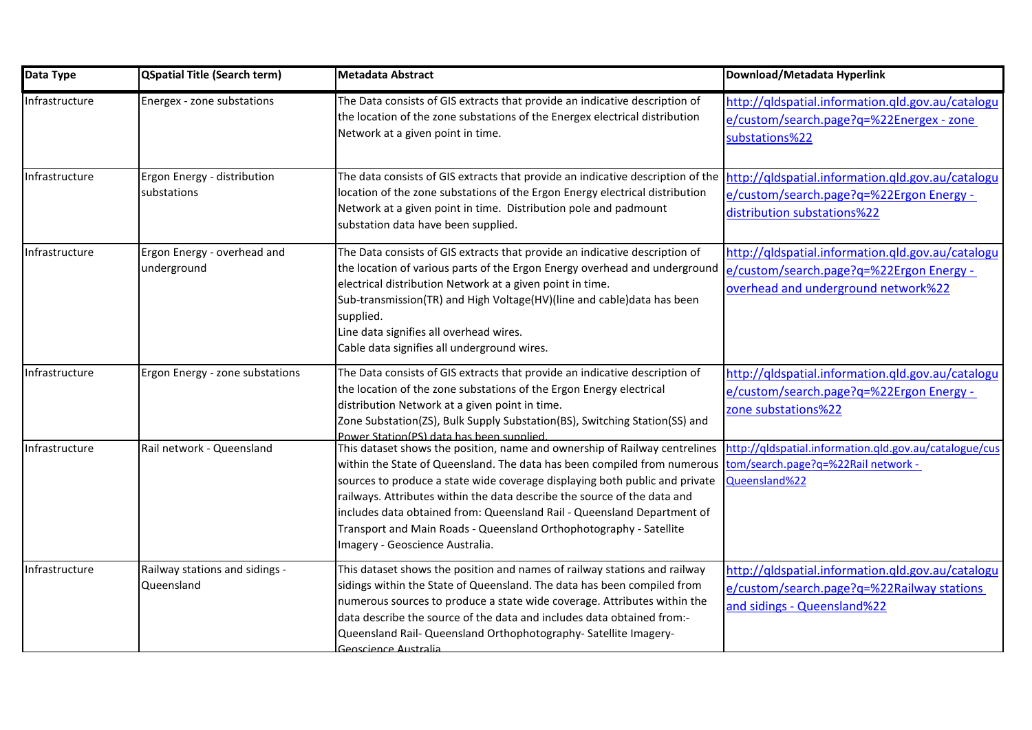| Data Type      | <b>QSpatial Title (Search term)</b>          | <b>Metadata Abstract</b>                                                                                                                                                                                                                                                                                                                                                                                                                                                                              | Download/Metadata Hyperlink                                                                                                          |
|----------------|----------------------------------------------|-------------------------------------------------------------------------------------------------------------------------------------------------------------------------------------------------------------------------------------------------------------------------------------------------------------------------------------------------------------------------------------------------------------------------------------------------------------------------------------------------------|--------------------------------------------------------------------------------------------------------------------------------------|
| Infrastructure | Energex - zone substations                   | The Data consists of GIS extracts that provide an indicative description of<br>the location of the zone substations of the Energex electrical distribution<br>Network at a given point in time.                                                                                                                                                                                                                                                                                                       | http://qldspatial.information.qld.gov.au/catalogu<br>e/custom/search.page?q=%22Energex - zone<br>substations%22                      |
| Infrastructure | Ergon Energy - distribution<br>substations   | The data consists of GIS extracts that provide an indicative description of the<br>location of the zone substations of the Ergon Energy electrical distribution<br>Network at a given point in time. Distribution pole and padmount<br>substation data have been supplied.                                                                                                                                                                                                                            | http://qldspatial.information.qld.gov.au/catalogu<br>e/custom/search.page?q=%22Ergon Energy -<br>distribution substations%22         |
| Infrastructure | Ergon Energy - overhead and<br>underground   | The Data consists of GIS extracts that provide an indicative description of<br>the location of various parts of the Ergon Energy overhead and underground<br>electrical distribution Network at a given point in time.<br>Sub-transmission(TR) and High Voltage(HV)(line and cable)data has been<br>supplied.<br>Line data signifies all overhead wires.<br>Cable data signifies all underground wires.                                                                                               | http://qldspatial.information.qld.gov.au/catalogu<br>e/custom/search.page?q=%22Ergon Energy -<br>overhead and underground network%22 |
| Infrastructure | Ergon Energy - zone substations              | The Data consists of GIS extracts that provide an indicative description of<br>the location of the zone substations of the Ergon Energy electrical<br>distribution Network at a given point in time.<br>Zone Substation(ZS), Bulk Supply Substation(BS), Switching Station(SS) and<br>Power Station(PS) data has been supplied                                                                                                                                                                        | http://qldspatial.information.qld.gov.au/catalogu<br>e/custom/search.page?q=%22Ergon Energy -<br>zone substations%22                 |
| Infrastructure | Rail network - Queensland                    | This dataset shows the position, name and ownership of Railway centrelines<br>within the State of Queensland. The data has been compiled from numerous<br>sources to produce a state wide coverage displaying both public and private<br>railways. Attributes within the data describe the source of the data and<br>includes data obtained from: Queensland Rail - Queensland Department of<br>Transport and Main Roads - Queensland Orthophotography - Satellite<br>Imagery - Geoscience Australia. | http://qldspatial.information.qld.gov.au/catalogue/cus<br>tom/search.page?q=%22Rail network -<br>Queensland%22                       |
| Infrastructure | Railway stations and sidings -<br>Queensland | This dataset shows the position and names of railway stations and railway<br>sidings within the State of Queensland. The data has been compiled from<br>numerous sources to produce a state wide coverage. Attributes within the<br>data describe the source of the data and includes data obtained from:-<br>Queensland Rail- Queensland Orthophotography- Satellite Imagery-<br>Geoscience Australia                                                                                                | http://qldspatial.information.qld.gov.au/catalogu<br>e/custom/search.page?q=%22Railway stations<br>and sidings - Queensland%22       |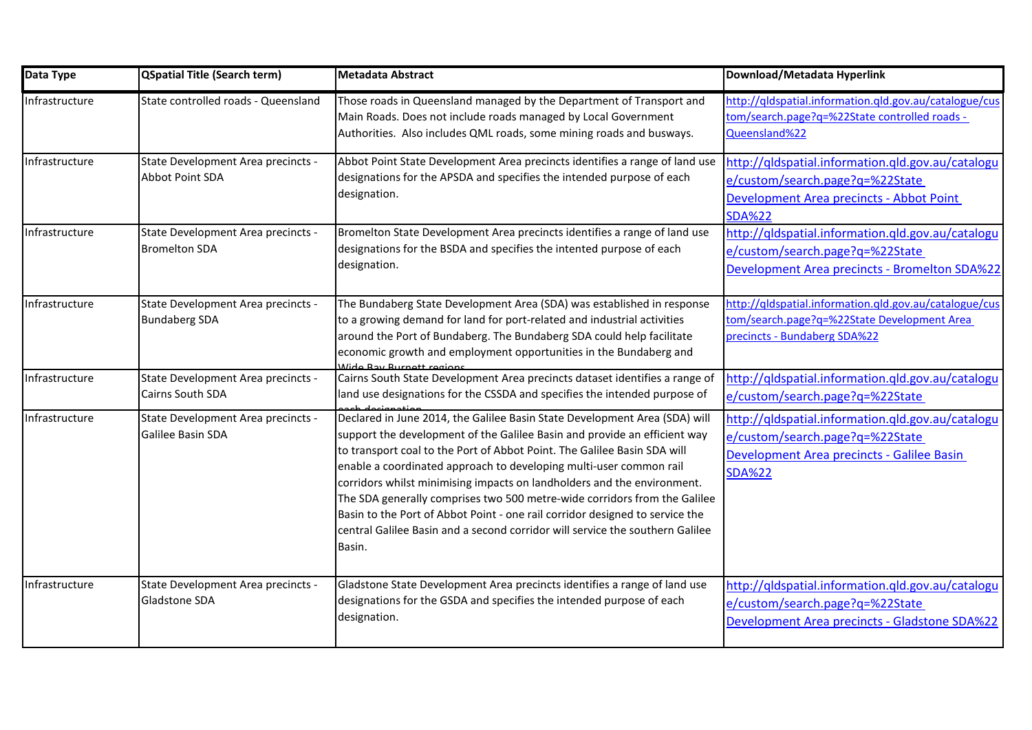| Data Type      | <b>QSpatial Title (Search term)</b>                        | <b>Metadata Abstract</b>                                                                                                                                                                                                                                                                                                                                                                                                                                                                                                                                                                                                                     | Download/Metadata Hyperlink                                                                                                                         |
|----------------|------------------------------------------------------------|----------------------------------------------------------------------------------------------------------------------------------------------------------------------------------------------------------------------------------------------------------------------------------------------------------------------------------------------------------------------------------------------------------------------------------------------------------------------------------------------------------------------------------------------------------------------------------------------------------------------------------------------|-----------------------------------------------------------------------------------------------------------------------------------------------------|
| Infrastructure | State controlled roads - Queensland                        | Those roads in Queensland managed by the Department of Transport and<br>Main Roads. Does not include roads managed by Local Government<br>Authorities. Also includes QML roads, some mining roads and busways.                                                                                                                                                                                                                                                                                                                                                                                                                               | http://qldspatial.information.gld.gov.au/catalogue/cus<br>tom/search.page?q=%22State controlled roads -<br>Queensland%22                            |
| Infrastructure | State Development Area precincts -<br>Abbot Point SDA      | Abbot Point State Development Area precincts identifies a range of land use<br>designations for the APSDA and specifies the intended purpose of each<br>designation.                                                                                                                                                                                                                                                                                                                                                                                                                                                                         | http://qldspatial.information.qld.gov.au/catalogu<br>e/custom/search.page?q=%22State<br>Development Area precincts - Abbot Point<br><b>SDA%22</b>   |
| Infrastructure | State Development Area precincts -<br><b>Bromelton SDA</b> | Bromelton State Development Area precincts identifies a range of land use<br>designations for the BSDA and specifies the intented purpose of each<br>designation.                                                                                                                                                                                                                                                                                                                                                                                                                                                                            | http://qldspatial.information.qld.gov.au/catalogu<br>e/custom/search.page?q=%22State<br>Development Area precincts - Bromelton SDA%22               |
| Infrastructure | State Development Area precincts -<br><b>Bundaberg SDA</b> | The Bundaberg State Development Area (SDA) was established in response<br>to a growing demand for land for port-related and industrial activities<br>around the Port of Bundaberg. The Bundaberg SDA could help facilitate<br>economic growth and employment opportunities in the Bundaberg and<br>Mido Day Purnott rogions                                                                                                                                                                                                                                                                                                                  | http://qldspatial.information.qld.gov.au/catalogue/cus<br>tom/search.page?q=%22State Development Area<br>precincts - Bundaberg SDA%22               |
| Infrastructure | State Development Area precincts -<br>Cairns South SDA     | Cairns South State Development Area precincts dataset identifies a range of<br>land use designations for the CSSDA and specifies the intended purpose of                                                                                                                                                                                                                                                                                                                                                                                                                                                                                     | http://qldspatial.information.qld.gov.au/catalogu<br>e/custom/search.page?q=%22State                                                                |
| Infrastructure | State Development Area precincts -<br>Galilee Basin SDA    | Declared in June 2014, the Galilee Basin State Development Area (SDA) will<br>support the development of the Galilee Basin and provide an efficient way<br>to transport coal to the Port of Abbot Point. The Galilee Basin SDA will<br>enable a coordinated approach to developing multi-user common rail<br>corridors whilst minimising impacts on landholders and the environment.<br>The SDA generally comprises two 500 metre-wide corridors from the Galilee<br>Basin to the Port of Abbot Point - one rail corridor designed to service the<br>central Galilee Basin and a second corridor will service the southern Galilee<br>Basin. | http://qldspatial.information.qld.gov.au/catalogu<br>e/custom/search.page?q=%22State<br>Development Area precincts - Galilee Basin<br><b>SDA%22</b> |
| Infrastructure | State Development Area precincts -<br>Gladstone SDA        | Gladstone State Development Area precincts identifies a range of land use<br>designations for the GSDA and specifies the intended purpose of each<br>designation.                                                                                                                                                                                                                                                                                                                                                                                                                                                                            | http://qldspatial.information.qld.gov.au/catalogu<br>e/custom/search.page?q=%22State<br>Development Area precincts - Gladstone SDA%22               |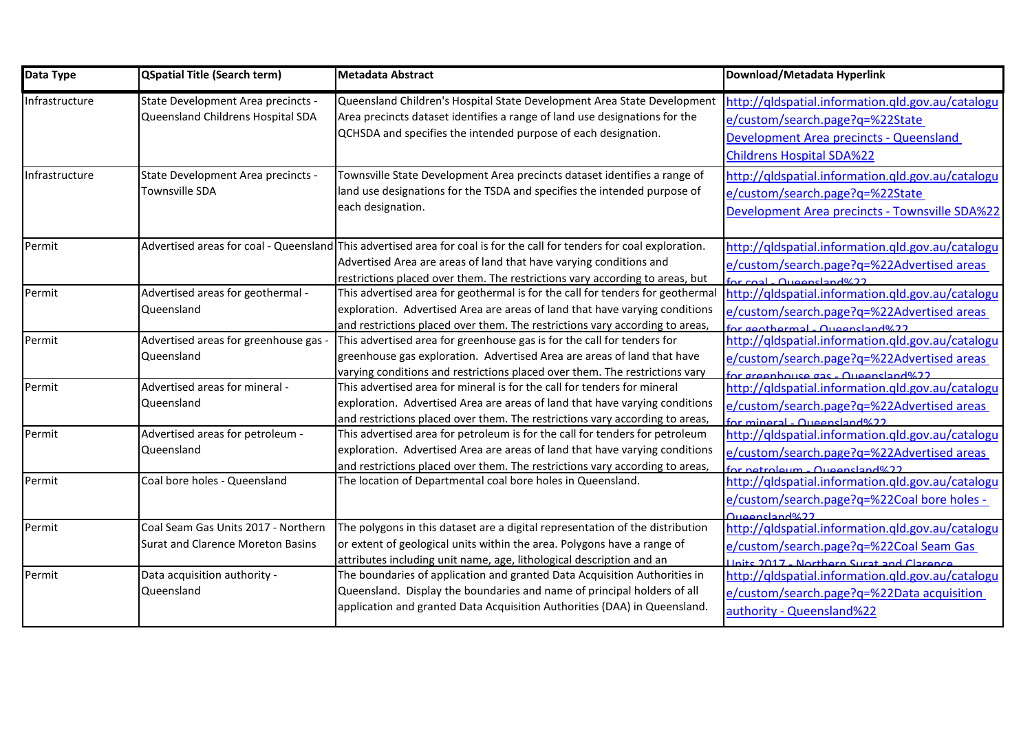| Data Type      | QSpatial Title (Search term)                                                    | <b>Metadata Abstract</b>                                                                                                                                                                                                                                                     | Download/Metadata Hyperlink                                                                                                                                                |
|----------------|---------------------------------------------------------------------------------|------------------------------------------------------------------------------------------------------------------------------------------------------------------------------------------------------------------------------------------------------------------------------|----------------------------------------------------------------------------------------------------------------------------------------------------------------------------|
| Infrastructure | State Development Area precincts -<br>Queensland Childrens Hospital SDA         | Queensland Children's Hospital State Development Area State Development<br>Area precincts dataset identifies a range of land use designations for the<br>QCHSDA and specifies the intended purpose of each designation.                                                      | http://qldspatial.information.qld.gov.au/catalogu<br>e/custom/search.page?q=%22State<br><b>Development Area precincts - Queensland</b><br><b>Childrens Hospital SDA%22</b> |
| Infrastructure | State Development Area precincts -<br>Townsville SDA                            | Townsville State Development Area precincts dataset identifies a range of<br>land use designations for the TSDA and specifies the intended purpose of<br>each designation.                                                                                                   | http://qldspatial.information.qld.gov.au/catalogu<br>e/custom/search.page?q=%22State<br>Development Area precincts - Townsville SDA%22                                     |
| Permit         |                                                                                 | Advertised areas for coal - Queensland This advertised area for coal is for the call for tenders for coal exploration.<br>Advertised Area are areas of land that have varying conditions and<br>restrictions placed over them. The restrictions vary according to areas, but | http://qldspatial.information.qld.gov.au/catalogu<br>e/custom/search.page?g=%22Advertised areas<br>for coal - Queensland%22                                                |
| Permit         | Advertised areas for geothermal -<br><b>Queensland</b>                          | This advertised area for geothermal is for the call for tenders for geothermal<br>exploration. Advertised Area are areas of land that have varying conditions<br>and restrictions placed over them. The restrictions vary according to areas,                                | http://qldspatial.information.qld.gov.au/catalogu<br>e/custom/search.page?q=%22Advertised areas<br>for geothermal - Queensland%22                                          |
| Permit         | Advertised areas for greenhouse gas -<br>Queensland                             | This advertised area for greenhouse gas is for the call for tenders for<br>greenhouse gas exploration. Advertised Area are areas of land that have<br>varying conditions and restrictions placed over them. The restrictions vary                                            | http://qldspatial.information.qld.gov.au/catalogu<br>e/custom/search.page?q=%22Advertised areas<br>for greenhouse gas - Queensland%22                                      |
| Permit         | Advertised areas for mineral -<br>Queensland                                    | This advertised area for mineral is for the call for tenders for mineral<br>exploration. Advertised Area are areas of land that have varying conditions<br>and restrictions placed over them. The restrictions vary according to areas,                                      | http://gldspatial.information.gld.gov.au/catalogu<br>e/custom/search.page?q=%22Advertised areas<br>for mineral - Queensland%22                                             |
| Permit         | Advertised areas for petroleum -<br>Queensland                                  | This advertised area for petroleum is for the call for tenders for petroleum<br>exploration. Advertised Area are areas of land that have varying conditions<br>and restrictions placed over them. The restrictions vary according to areas,                                  | http://qldspatial.information.qld.gov.au/catalogu<br>e/custom/search.page?q=%22Advertised areas<br>for netroleum - Queensland%22                                           |
| Permit         | Coal bore holes - Queensland                                                    | The location of Departmental coal bore holes in Queensland.                                                                                                                                                                                                                  | http://qldspatial.information.qld.gov.au/catalogu<br>e/custom/search.page?g=%22Coal bore holes -<br>Queensland%22                                                          |
| Permit         | Coal Seam Gas Units 2017 - Northern<br><b>Surat and Clarence Moreton Basins</b> | The polygons in this dataset are a digital representation of the distribution<br>or extent of geological units within the area. Polygons have a range of<br>attributes including unit name, age, lithological description and an                                             | http://qldspatial.information.qld.gov.au/catalogu<br>e/custom/search.page?q=%22Coal Seam Gas<br>Unite 2017 - Northern Surat and Clarence                                   |
| Permit         | Data acquisition authority -<br>Queensland                                      | The boundaries of application and granted Data Acquisition Authorities in<br>Queensland. Display the boundaries and name of principal holders of all<br>application and granted Data Acquisition Authorities (DAA) in Queensland.                                            | http://qldspatial.information.qld.gov.au/catalogu<br>e/custom/search.page?q=%22Data acquisition<br>authority - Queensland%22                                               |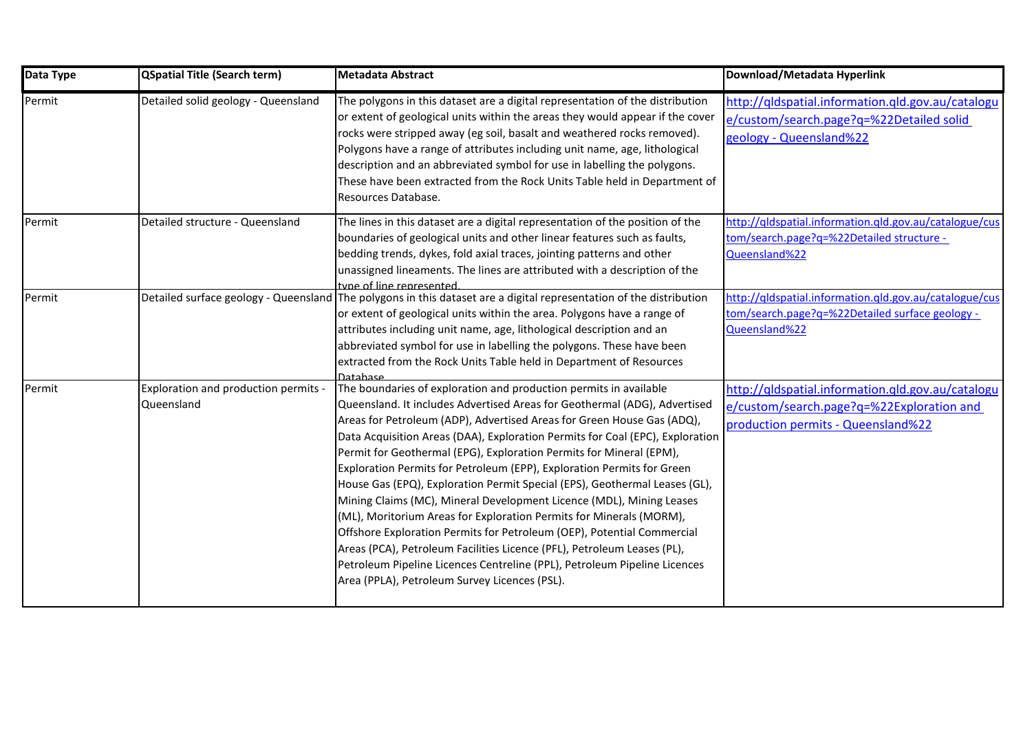| Data Type | <b>QSpatial Title (Search term)</b>                | <b>Metadata Abstract</b>                                                                                                                                                                                                                                                                                                                                                                                                                                                                                                                                                                                                                                                                                                                                                                                                                                                                                                                                                   | Download/Metadata Hyperlink                                                                                                          |
|-----------|----------------------------------------------------|----------------------------------------------------------------------------------------------------------------------------------------------------------------------------------------------------------------------------------------------------------------------------------------------------------------------------------------------------------------------------------------------------------------------------------------------------------------------------------------------------------------------------------------------------------------------------------------------------------------------------------------------------------------------------------------------------------------------------------------------------------------------------------------------------------------------------------------------------------------------------------------------------------------------------------------------------------------------------|--------------------------------------------------------------------------------------------------------------------------------------|
| Permit    | Detailed solid geology - Queensland                | The polygons in this dataset are a digital representation of the distribution<br>or extent of geological units within the areas they would appear if the cover<br>rocks were stripped away (eg soil, basalt and weathered rocks removed).<br>Polygons have a range of attributes including unit name, age, lithological<br>description and an abbreviated symbol for use in labelling the polygons.<br>These have been extracted from the Rock Units Table held in Department of<br>Resources Database.                                                                                                                                                                                                                                                                                                                                                                                                                                                                    | http://qldspatial.information.qld.gov.au/catalogu<br>e/custom/search.page?q=%22Detailed solid<br>geology - Queensland%22             |
| Permit    | Detailed structure - Queensland                    | The lines in this dataset are a digital representation of the position of the<br>boundaries of geological units and other linear features such as faults,<br>bedding trends, dykes, fold axial traces, jointing patterns and other<br>unassigned lineaments. The lines are attributed with a description of the<br>tyne of line represented                                                                                                                                                                                                                                                                                                                                                                                                                                                                                                                                                                                                                                | http://qldspatial.information.gld.gov.au/catalogue/cus<br>tom/search.page?q=%22Detailed structure -<br>Queensland%22                 |
| Permit    |                                                    | Detailed surface geology - Queensland The polygons in this dataset are a digital representation of the distribution<br>or extent of geological units within the area. Polygons have a range of<br>attributes including unit name, age, lithological description and an<br>abbreviated symbol for use in labelling the polygons. These have been<br>extracted from the Rock Units Table held in Department of Resources<br>Database                                                                                                                                                                                                                                                                                                                                                                                                                                                                                                                                         | http://qldspatial.information.qld.gov.au/catalogue/cus<br>tom/search.page?q=%22Detailed surface geology -<br>Queensland%22           |
| Permit    | Exploration and production permits -<br>Queensland | The boundaries of exploration and production permits in available<br>Queensland. It includes Advertised Areas for Geothermal (ADG), Advertised<br>Areas for Petroleum (ADP), Advertised Areas for Green House Gas (ADQ),<br>Data Acquisition Areas (DAA), Exploration Permits for Coal (EPC), Exploration<br>Permit for Geothermal (EPG), Exploration Permits for Mineral (EPM),<br>Exploration Permits for Petroleum (EPP), Exploration Permits for Green<br>House Gas (EPQ), Exploration Permit Special (EPS), Geothermal Leases (GL),<br>Mining Claims (MC), Mineral Development Licence (MDL), Mining Leases<br>(ML), Moritorium Areas for Exploration Permits for Minerals (MORM),<br>Offshore Exploration Permits for Petroleum (OEP), Potential Commercial<br>Areas (PCA), Petroleum Facilities Licence (PFL), Petroleum Leases (PL),<br>Petroleum Pipeline Licences Centreline (PPL), Petroleum Pipeline Licences<br>Area (PPLA), Petroleum Survey Licences (PSL). | http://qldspatial.information.qld.gov.au/catalogu<br>e/custom/search.page?q=%22Exploration and<br>production permits - Queensland%22 |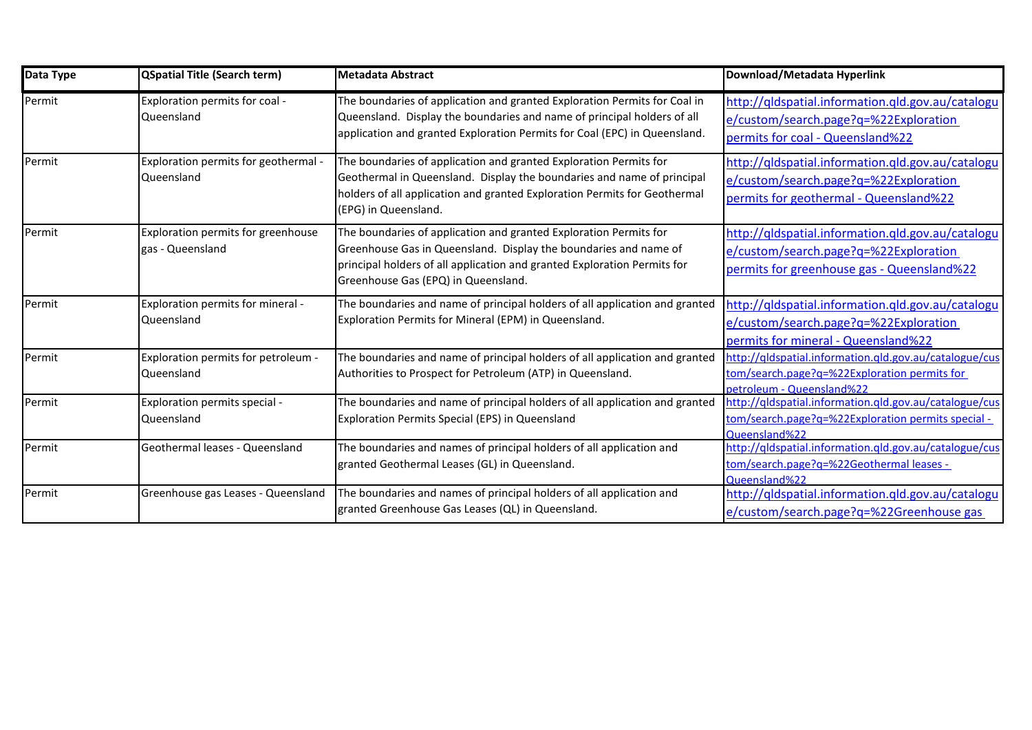| Data Type | <b>QSpatial Title (Search term)</b>                    | Metadata Abstract                                                                                                                                                                                                                                        | Download/Metadata Hyperlink                                                                                                              |
|-----------|--------------------------------------------------------|----------------------------------------------------------------------------------------------------------------------------------------------------------------------------------------------------------------------------------------------------------|------------------------------------------------------------------------------------------------------------------------------------------|
| Permit    | Exploration permits for coal -<br>Queensland           | The boundaries of application and granted Exploration Permits for Coal in<br>Queensland. Display the boundaries and name of principal holders of all<br>application and granted Exploration Permits for Coal (EPC) in Queensland.                        | http://qldspatial.information.qld.gov.au/catalogu<br>e/custom/search.page?q=%22Exploration<br>permits for coal - Queensland%22           |
| Permit    | Exploration permits for geothermal -<br>Queensland     | The boundaries of application and granted Exploration Permits for<br>Geothermal in Queensland. Display the boundaries and name of principal<br>holders of all application and granted Exploration Permits for Geothermal<br>(EPG) in Queensland.         | http://qldspatial.information.qld.gov.au/catalogu<br>e/custom/search.page?q=%22Exploration<br>permits for geothermal - Queensland%22     |
| Permit    | Exploration permits for greenhouse<br>gas - Queensland | The boundaries of application and granted Exploration Permits for<br>Greenhouse Gas in Queensland. Display the boundaries and name of<br>principal holders of all application and granted Exploration Permits for<br>Greenhouse Gas (EPQ) in Queensland. | http://qldspatial.information.qld.gov.au/catalogu<br>e/custom/search.page?q=%22Exploration<br>permits for greenhouse gas - Queensland%22 |
| Permit    | Exploration permits for mineral -<br>Queensland        | The boundaries and name of principal holders of all application and granted<br>Exploration Permits for Mineral (EPM) in Queensland.                                                                                                                      | http://qldspatial.information.qld.gov.au/catalogu<br>e/custom/search.page?q=%22Exploration<br>permits for mineral - Queensland%22        |
| Permit    | Exploration permits for petroleum -<br>Queensland      | The boundaries and name of principal holders of all application and granted<br>Authorities to Prospect for Petroleum (ATP) in Queensland.                                                                                                                | http://qldspatial.information.qld.gov.au/catalogue/cus<br>tom/search.page?q=%22Exploration permits for<br>petroleum - Queensland%22      |
| Permit    | Exploration permits special -<br>Queensland            | The boundaries and name of principal holders of all application and granted<br>Exploration Permits Special (EPS) in Queensland                                                                                                                           | http://qldspatial.information.qld.gov.au/catalogue/cus<br>tom/search.page?q=%22Exploration permits special -<br>Queensland%22            |
| Permit    | Geothermal leases - Queensland                         | The boundaries and names of principal holders of all application and<br>granted Geothermal Leases (GL) in Queensland.                                                                                                                                    | http://qldspatial.information.qld.gov.au/catalogue/cus<br>tom/search.page?q=%22Geothermal leases -<br>Oueensland%22                      |
| Permit    | Greenhouse gas Leases - Queensland                     | The boundaries and names of principal holders of all application and<br>granted Greenhouse Gas Leases (QL) in Queensland.                                                                                                                                | http://qldspatial.information.qld.gov.au/catalogu<br>e/custom/search.page?q=%22Greenhouse gas                                            |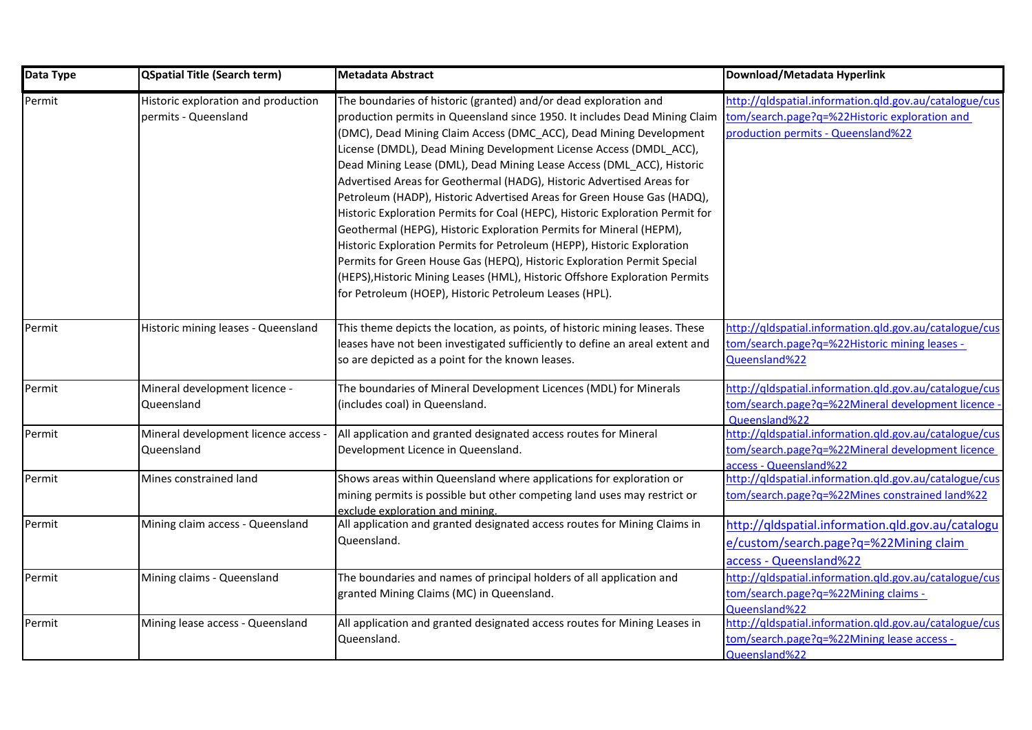| Data Type | <b>QSpatial Title (Search term)</b>                         | <b>Metadata Abstract</b>                                                                                                                                                                                                                                                                                                                                                                                                                                                                                                                                                                                                                                                                                                                                                                                                                                                                                                                                                       | Download/Metadata Hyperlink                                                                                                                   |
|-----------|-------------------------------------------------------------|--------------------------------------------------------------------------------------------------------------------------------------------------------------------------------------------------------------------------------------------------------------------------------------------------------------------------------------------------------------------------------------------------------------------------------------------------------------------------------------------------------------------------------------------------------------------------------------------------------------------------------------------------------------------------------------------------------------------------------------------------------------------------------------------------------------------------------------------------------------------------------------------------------------------------------------------------------------------------------|-----------------------------------------------------------------------------------------------------------------------------------------------|
| Permit    | Historic exploration and production<br>permits - Queensland | The boundaries of historic (granted) and/or dead exploration and<br>production permits in Queensland since 1950. It includes Dead Mining Claim<br>(DMC), Dead Mining Claim Access (DMC_ACC), Dead Mining Development<br>License (DMDL), Dead Mining Development License Access (DMDL_ACC),<br>Dead Mining Lease (DML), Dead Mining Lease Access (DML_ACC), Historic<br>Advertised Areas for Geothermal (HADG), Historic Advertised Areas for<br>Petroleum (HADP), Historic Advertised Areas for Green House Gas (HADQ),<br>Historic Exploration Permits for Coal (HEPC), Historic Exploration Permit for<br>Geothermal (HEPG), Historic Exploration Permits for Mineral (HEPM),<br>Historic Exploration Permits for Petroleum (HEPP), Historic Exploration<br>Permits for Green House Gas (HEPQ), Historic Exploration Permit Special<br>(HEPS), Historic Mining Leases (HML), Historic Offshore Exploration Permits<br>for Petroleum (HOEP), Historic Petroleum Leases (HPL). | http://gldspatial.information.gld.gov.au/catalogue/cus<br>tom/search.page?q=%22Historic exploration and<br>production permits - Queensland%22 |
| Permit    | Historic mining leases - Queensland                         | This theme depicts the location, as points, of historic mining leases. These<br>leases have not been investigated sufficiently to define an areal extent and<br>so are depicted as a point for the known leases.                                                                                                                                                                                                                                                                                                                                                                                                                                                                                                                                                                                                                                                                                                                                                               | http://qldspatial.information.qld.gov.au/catalogue/cus<br>tom/search.page?q=%22Historic mining leases -<br>Queensland%22                      |
| Permit    | Mineral development licence -<br>Queensland                 | The boundaries of Mineral Development Licences (MDL) for Minerals<br>(includes coal) in Queensland.                                                                                                                                                                                                                                                                                                                                                                                                                                                                                                                                                                                                                                                                                                                                                                                                                                                                            | http://qldspatial.information.gld.gov.au/catalogue/cus<br>tom/search.page?g=%22Mineral development licence<br>Queensland%22                   |
| Permit    | Mineral development licence access<br>Queensland            | All application and granted designated access routes for Mineral<br>Development Licence in Queensland.                                                                                                                                                                                                                                                                                                                                                                                                                                                                                                                                                                                                                                                                                                                                                                                                                                                                         | http://qldspatial.information.qld.gov.au/catalogue/cus<br>tom/search.page?q=%22Mineral development licence<br>access - Queensland%22          |
| Permit    | Mines constrained land                                      | Shows areas within Queensland where applications for exploration or<br>mining permits is possible but other competing land uses may restrict or<br>exclude exploration and mining.                                                                                                                                                                                                                                                                                                                                                                                                                                                                                                                                                                                                                                                                                                                                                                                             | http://qldspatial.information.qld.gov.au/catalogue/cus<br>tom/search.page?q=%22Mines constrained land%22                                      |
| Permit    | Mining claim access - Queensland                            | All application and granted designated access routes for Mining Claims in<br>Queensland.                                                                                                                                                                                                                                                                                                                                                                                                                                                                                                                                                                                                                                                                                                                                                                                                                                                                                       | http://qldspatial.information.qld.gov.au/catalogu<br>e/custom/search.page?q=%22Mining claim<br>access - Queensland%22                         |
| Permit    | Mining claims - Queensland                                  | The boundaries and names of principal holders of all application and<br>granted Mining Claims (MC) in Queensland.                                                                                                                                                                                                                                                                                                                                                                                                                                                                                                                                                                                                                                                                                                                                                                                                                                                              | http://qldspatial.information.qld.gov.au/catalogue/cus<br>tom/search.page?q=%22Mining claims -<br>Queensland%22                               |
| Permit    | Mining lease access - Queensland                            | All application and granted designated access routes for Mining Leases in<br>Queensland.                                                                                                                                                                                                                                                                                                                                                                                                                                                                                                                                                                                                                                                                                                                                                                                                                                                                                       | http://qldspatial.information.qld.gov.au/catalogue/cus<br>tom/search.page?q=%22Mining lease access -<br>Queensland%22                         |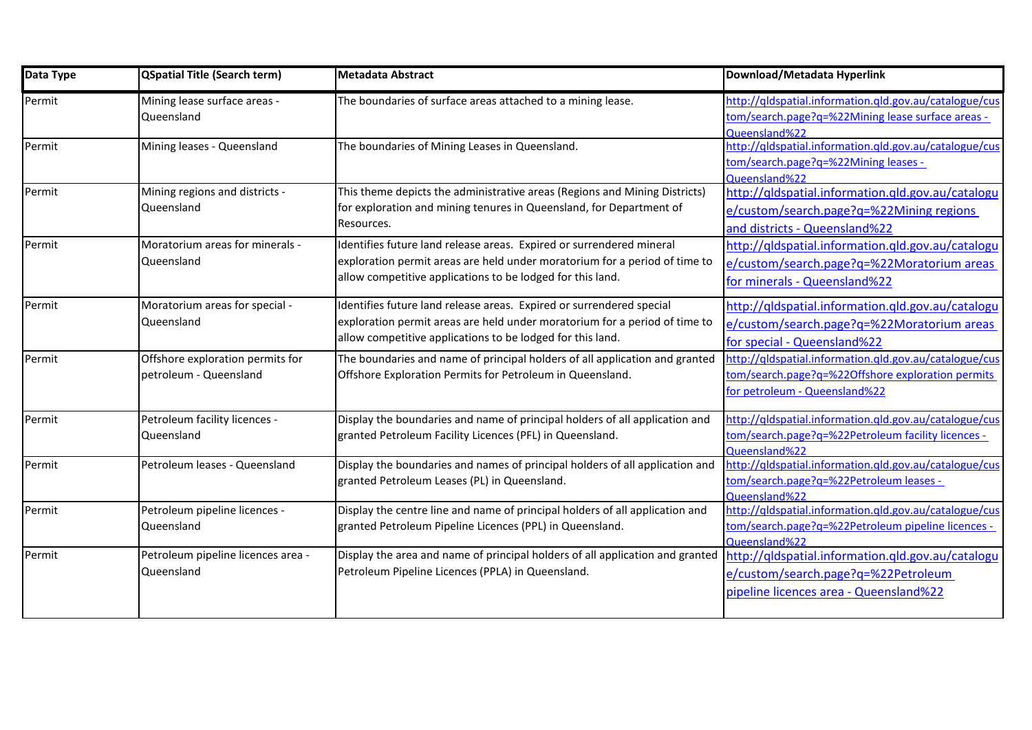| Data Type | <b>QSpatial Title (Search term)</b>                        | <b>Metadata Abstract</b>                                                                                                                                                                                         | Download/Metadata Hyperlink                                                                                                                  |
|-----------|------------------------------------------------------------|------------------------------------------------------------------------------------------------------------------------------------------------------------------------------------------------------------------|----------------------------------------------------------------------------------------------------------------------------------------------|
| Permit    | Mining lease surface areas -<br>Queensland                 | The boundaries of surface areas attached to a mining lease.                                                                                                                                                      | http://qldspatial.information.qld.gov.au/catalogue/cus<br>tom/search.page?q=%22Mining lease surface areas -<br>Queensland%22                 |
| Permit    | Mining leases - Queensland                                 | The boundaries of Mining Leases in Queensland.                                                                                                                                                                   | http://qldspatial.information.qld.gov.au/catalogue/cus<br>tom/search.page?q=%22Mining leases -<br>Queensland%22                              |
| Permit    | Mining regions and districts -<br>Queensland               | This theme depicts the administrative areas (Regions and Mining Districts)<br>for exploration and mining tenures in Queensland, for Department of<br>Resources.                                                  | http://qldspatial.information.qld.gov.au/catalogu<br>e/custom/search.page?q=%22Mining regions<br>and districts - Queensland%22               |
| Permit    | Moratorium areas for minerals -<br>Queensland              | Identifies future land release areas. Expired or surrendered mineral<br>exploration permit areas are held under moratorium for a period of time to<br>allow competitive applications to be lodged for this land. | http://qldspatial.information.qld.gov.au/catalogu<br>e/custom/search.page?q=%22Moratorium areas<br>for minerals - Queensland%22              |
| Permit    | Moratorium areas for special -<br>Queensland               | Identifies future land release areas. Expired or surrendered special<br>exploration permit areas are held under moratorium for a period of time to<br>allow competitive applications to be lodged for this land. | http://qldspatial.information.qld.gov.au/catalogu<br>e/custom/search.page?g=%22Moratorium areas<br>for special - Queensland%22               |
| Permit    | Offshore exploration permits for<br>petroleum - Queensland | The boundaries and name of principal holders of all application and granted<br>Offshore Exploration Permits for Petroleum in Queensland.                                                                         | http://qldspatial.information.qld.gov.au/catalogue/cus<br>tom/search.page?q=%22Offshore exploration permits<br>for petroleum - Queensland%22 |
| Permit    | Petroleum facility licences -<br>Queensland                | Display the boundaries and name of principal holders of all application and<br>granted Petroleum Facility Licences (PFL) in Queensland.                                                                          | http://qldspatial.information.qld.gov.au/catalogue/cus<br>tom/search.page?q=%22Petroleum facility licences -<br>Queensland%22                |
| Permit    | Petroleum leases - Queensland                              | Display the boundaries and names of principal holders of all application and<br>granted Petroleum Leases (PL) in Queensland.                                                                                     | http://qldspatial.information.qld.gov.au/catalogue/cus<br>tom/search.page?q=%22Petroleum leases -<br>Queensland%22                           |
| Permit    | Petroleum pipeline licences -<br>Queensland                | Display the centre line and name of principal holders of all application and<br>granted Petroleum Pipeline Licences (PPL) in Queensland.                                                                         | http://qldspatial.information.qld.gov.au/catalogue/cus<br>tom/search.page?q=%22Petroleum pipeline licences -<br>Queensland%22                |
| Permit    | Petroleum pipeline licences area -<br>Queensland           | Display the area and name of principal holders of all application and granted<br>Petroleum Pipeline Licences (PPLA) in Queensland.                                                                               | http://qldspatial.information.qld.gov.au/catalogu<br>e/custom/search.page?q=%22Petroleum<br>pipeline licences area - Queensland%22           |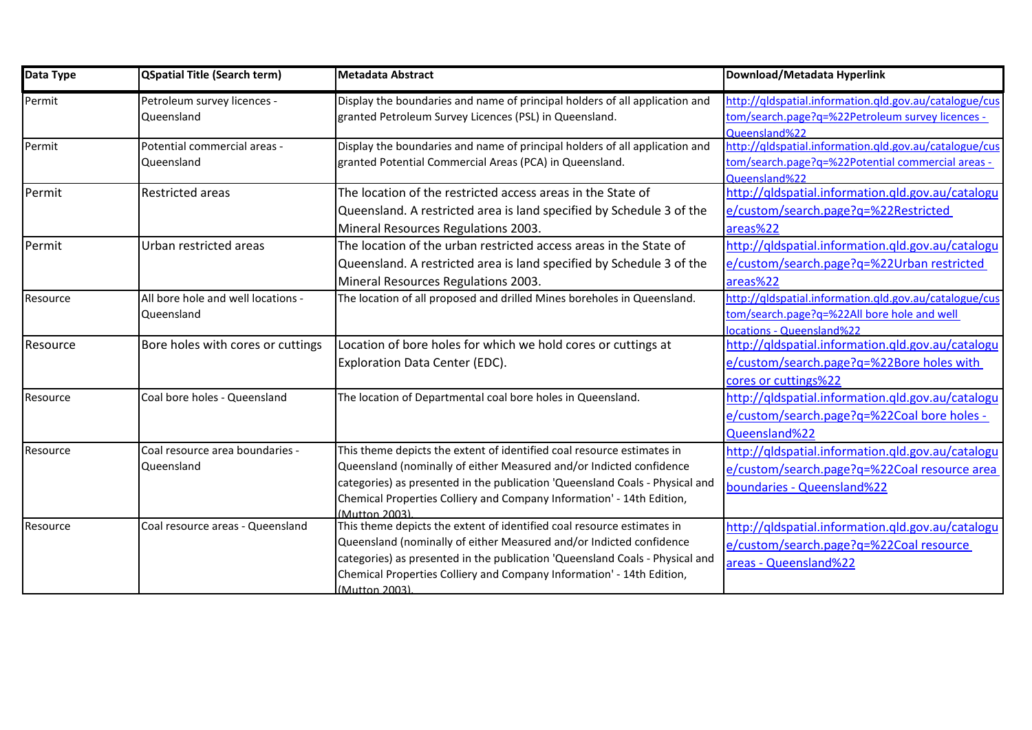| Data Type | QSpatial Title (Search term)                     | Metadata Abstract                                                                                                                                                                                                                                                                                                       | Download/Metadata Hyperlink                                                                                                        |
|-----------|--------------------------------------------------|-------------------------------------------------------------------------------------------------------------------------------------------------------------------------------------------------------------------------------------------------------------------------------------------------------------------------|------------------------------------------------------------------------------------------------------------------------------------|
| Permit    | Petroleum survey licences -<br>Queensland        | Display the boundaries and name of principal holders of all application and<br>granted Petroleum Survey Licences (PSL) in Queensland.                                                                                                                                                                                   | http://qldspatial.information.qld.gov.au/catalogue/cus<br>tom/search.page?q=%22Petroleum survey licences -<br>Queensland%22        |
| Permit    | Potential commercial areas -<br>Queensland       | Display the boundaries and name of principal holders of all application and<br>granted Potential Commercial Areas (PCA) in Queensland.                                                                                                                                                                                  | http://qldspatial.information.qld.gov.au/catalogue/cus<br>tom/search.page?q=%22Potential commercial areas -<br>Queensland%22       |
| Permit    | <b>Restricted areas</b>                          | The location of the restricted access areas in the State of<br>Queensland. A restricted area is land specified by Schedule 3 of the<br>Mineral Resources Regulations 2003.                                                                                                                                              | http://qldspatial.information.qld.gov.au/catalogu<br>e/custom/search.page?q=%22Restricted<br>areas%22                              |
| Permit    | Urban restricted areas                           | The location of the urban restricted access areas in the State of<br>Queensland. A restricted area is land specified by Schedule 3 of the<br>Mineral Resources Regulations 2003.                                                                                                                                        | http://qldspatial.information.qld.gov.au/catalogu<br>e/custom/search.page?q=%22Urban restricted<br>areas%22                        |
| Resource  | All bore hole and well locations -<br>Queensland | The location of all proposed and drilled Mines boreholes in Queensland.                                                                                                                                                                                                                                                 | http://qldspatial.information.qld.gov.au/catalogue/cus<br>tom/search.page?q=%22All bore hole and well<br>locations - Queensland%22 |
| Resource  | Bore holes with cores or cuttings                | Location of bore holes for which we hold cores or cuttings at<br><b>Exploration Data Center (EDC).</b>                                                                                                                                                                                                                  | http://qldspatial.information.qld.gov.au/catalogu<br>e/custom/search.page?q=%22Bore holes with<br>cores or cuttings%22             |
| Resource  | Coal bore holes - Queensland                     | The location of Departmental coal bore holes in Queensland.                                                                                                                                                                                                                                                             | http://qldspatial.information.qld.gov.au/catalogu<br>e/custom/search.page?q=%22Coal bore holes -<br>Queensland%22                  |
| Resource  | Coal resource area boundaries -<br>Queensland    | This theme depicts the extent of identified coal resource estimates in<br>Queensland (nominally of either Measured and/or Indicted confidence<br>categories) as presented in the publication 'Queensland Coals - Physical and<br>Chemical Properties Colliery and Company Information' - 14th Edition,<br>(Mutton 2003) | http://qldspatial.information.qld.gov.au/catalogu<br>e/custom/search.page?q=%22Coal resource area<br>boundaries - Queensland%22    |
| Resource  | Coal resource areas - Queensland                 | This theme depicts the extent of identified coal resource estimates in<br>Queensland (nominally of either Measured and/or Indicted confidence<br>categories) as presented in the publication 'Queensland Coals - Physical and<br>Chemical Properties Colliery and Company Information' - 14th Edition,<br>(Mutton 2003) | http://qldspatial.information.qld.gov.au/catalogu<br>e/custom/search.page?q=%22Coal resource<br>areas - Queensland%22              |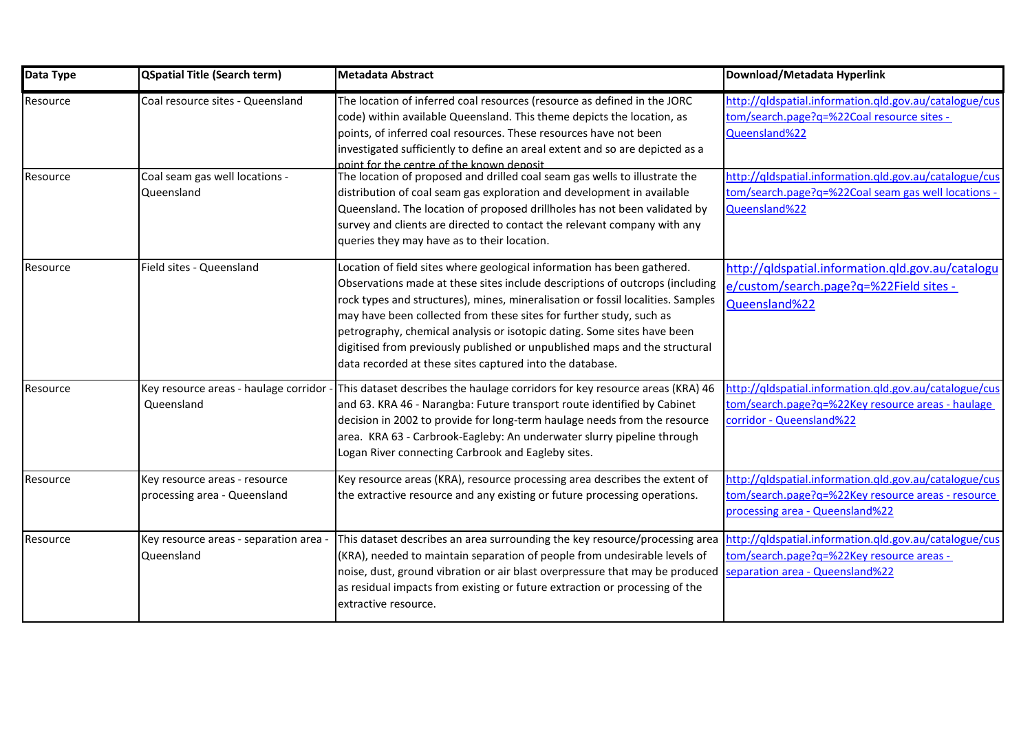| Data Type | <b>QSpatial Title (Search term)</b>                           | <b>Metadata Abstract</b>                                                                                                                                                                                                                                                                                                                                                                                                                                                                                                               | Download/Metadata Hyperlink                                                                                                                     |
|-----------|---------------------------------------------------------------|----------------------------------------------------------------------------------------------------------------------------------------------------------------------------------------------------------------------------------------------------------------------------------------------------------------------------------------------------------------------------------------------------------------------------------------------------------------------------------------------------------------------------------------|-------------------------------------------------------------------------------------------------------------------------------------------------|
| Resource  | Coal resource sites - Queensland                              | The location of inferred coal resources (resource as defined in the JORC<br>code) within available Queensland. This theme depicts the location, as<br>points, of inferred coal resources. These resources have not been<br>investigated sufficiently to define an areal extent and so are depicted as a<br>point for the centre of the known denosit                                                                                                                                                                                   | http://qldspatial.information.qld.gov.au/catalogue/cus<br>tom/search.page?q=%22Coal resource sites -<br>Queensland%22                           |
| Resource  | Coal seam gas well locations -<br>Queensland                  | The location of proposed and drilled coal seam gas wells to illustrate the<br>distribution of coal seam gas exploration and development in available<br>Queensland. The location of proposed drillholes has not been validated by<br>survey and clients are directed to contact the relevant company with any<br>queries they may have as to their location.                                                                                                                                                                           | http://qldspatial.information.qld.gov.au/catalogue/cus<br>tom/search.page?q=%22Coal seam gas well locations ·<br>Queensland%22                  |
| Resource  | Field sites - Queensland                                      | Location of field sites where geological information has been gathered.<br>Observations made at these sites include descriptions of outcrops (including<br>rock types and structures), mines, mineralisation or fossil localities. Samples<br>may have been collected from these sites for further study, such as<br>petrography, chemical analysis or isotopic dating. Some sites have been<br>digitised from previously published or unpublished maps and the structural<br>data recorded at these sites captured into the database. | http://qldspatial.information.qld.gov.au/catalogu<br>e/custom/search.page?q=%22Field sites -<br>Queensland%22                                   |
| Resource  | Key resource areas - haulage corridor<br>Queensland           | This dataset describes the haulage corridors for key resource areas (KRA) 46<br>and 63. KRA 46 - Narangba: Future transport route identified by Cabinet<br>decision in 2002 to provide for long-term haulage needs from the resource<br>area. KRA 63 - Carbrook-Eagleby: An underwater slurry pipeline through<br>Logan River connecting Carbrook and Eagleby sites.                                                                                                                                                                   | http://gldspatial.information.gld.gov.au/catalogue/cus<br>tom/search.page?q=%22Key resource areas - haulage<br>corridor - Queensland%22         |
| Resource  | Key resource areas - resource<br>processing area - Queensland | Key resource areas (KRA), resource processing area describes the extent of<br>the extractive resource and any existing or future processing operations.                                                                                                                                                                                                                                                                                                                                                                                | http://qldspatial.information.qld.gov.au/catalogue/cus<br>tom/search.page?q=%22Key resource areas - resource<br>processing area - Queensland%22 |
| Resource  | Key resource areas - separation area<br>Queensland            | This dataset describes an area surrounding the key resource/processing area<br>(KRA), needed to maintain separation of people from undesirable levels of<br>noise, dust, ground vibration or air blast overpressure that may be produced<br>as residual impacts from existing or future extraction or processing of the<br>extractive resource.                                                                                                                                                                                        | http://qldspatial.information.qld.gov.au/catalogue/cus<br>tom/search.page?q=%22Key resource areas -<br>separation area - Queensland%22          |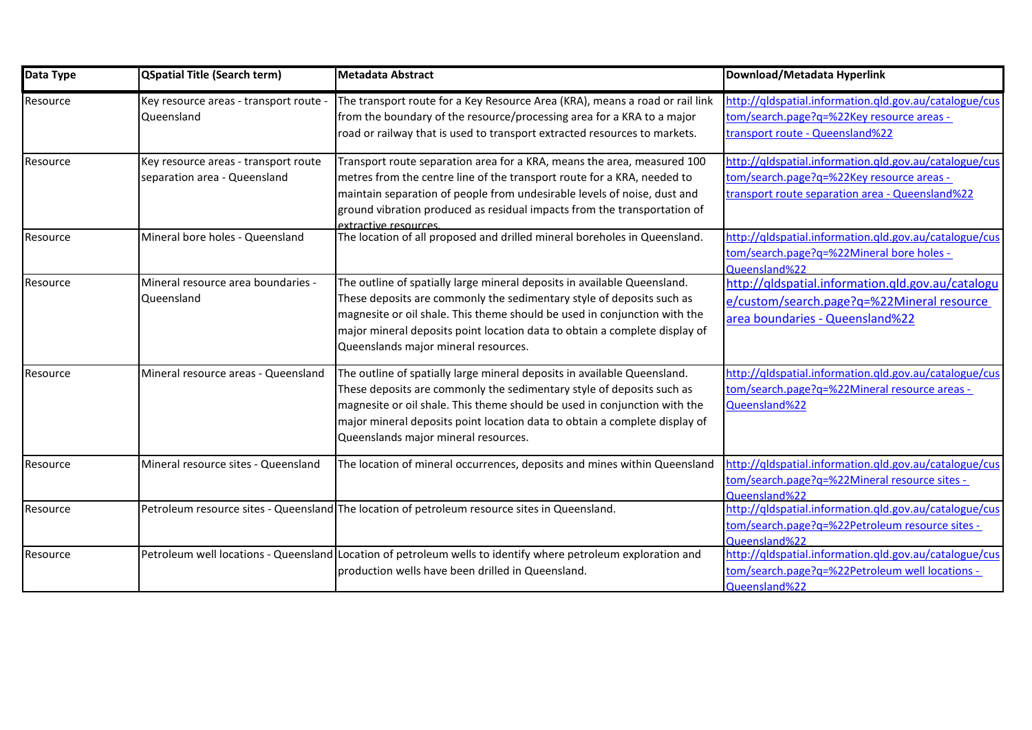| Data Type | <b>QSpatial Title (Search term)</b>                                  | <b>Metadata Abstract</b>                                                                                                                                                                                                                                                                                                                             | Download/Metadata Hyperlink                                                                                                                            |
|-----------|----------------------------------------------------------------------|------------------------------------------------------------------------------------------------------------------------------------------------------------------------------------------------------------------------------------------------------------------------------------------------------------------------------------------------------|--------------------------------------------------------------------------------------------------------------------------------------------------------|
| Resource  | Key resource areas - transport route -<br>Queensland                 | The transport route for a Key Resource Area (KRA), means a road or rail link<br>from the boundary of the resource/processing area for a KRA to a major<br>road or railway that is used to transport extracted resources to markets.                                                                                                                  | http://qldspatial.information.qld.gov.au/catalogue/cus<br>tom/search.page?q=%22Key resource areas -<br>transport route - Queensland%22                 |
| Resource  | Key resource areas - transport route<br>separation area - Queensland | Transport route separation area for a KRA, means the area, measured 100<br>metres from the centre line of the transport route for a KRA, needed to<br>maintain separation of people from undesirable levels of noise, dust and<br>ground vibration produced as residual impacts from the transportation of<br>extractive resources                   | http://qldspatial.information.qld.gov.au/catalogue/cus<br>tom/search.page?q=%22Key resource areas -<br>transport route separation area - Queensland%22 |
| Resource  | Mineral bore holes - Queensland                                      | The location of all proposed and drilled mineral boreholes in Queensland.                                                                                                                                                                                                                                                                            | http://qldspatial.information.qld.gov.au/catalogue/cus<br>tom/search.page?q=%22Mineral bore holes -<br>Queensland%22                                   |
| Resource  | Mineral resource area boundaries -<br>Queensland                     | The outline of spatially large mineral deposits in available Queensland.<br>These deposits are commonly the sedimentary style of deposits such as<br>magnesite or oil shale. This theme should be used in conjunction with the<br>major mineral deposits point location data to obtain a complete display of<br>Queenslands major mineral resources. | http://qldspatial.information.qld.gov.au/catalogu<br>e/custom/search.page?q=%22Mineral resource<br>area boundaries - Queensland%22                     |
| Resource  | Mineral resource areas - Queensland                                  | The outline of spatially large mineral deposits in available Queensland.<br>These deposits are commonly the sedimentary style of deposits such as<br>magnesite or oil shale. This theme should be used in conjunction with the<br>major mineral deposits point location data to obtain a complete display of<br>Queenslands major mineral resources. | http://qldspatial.information.qld.gov.au/catalogue/cus<br>tom/search.page?q=%22Mineral resource areas -<br>Queensland%22                               |
| Resource  | Mineral resource sites - Queensland                                  | The location of mineral occurrences, deposits and mines within Queensland                                                                                                                                                                                                                                                                            | http://qldspatial.information.qld.gov.au/catalogue/cus<br>tom/search.page?q=%22Mineral resource sites -<br>Queensland%22                               |
| Resource  |                                                                      | Petroleum resource sites - Queensland The location of petroleum resource sites in Queensland.                                                                                                                                                                                                                                                        | http://qldspatial.information.qld.gov.au/catalogue/cus<br>tom/search.page?q=%22Petroleum resource sites -<br>Oueensland%22                             |
| Resource  |                                                                      | Petroleum well locations - Queensland Location of petroleum wells to identify where petroleum exploration and<br>production wells have been drilled in Queensland.                                                                                                                                                                                   | http://qldspatial.information.qld.gov.au/catalogue/cus<br>tom/search.page?q=%22Petroleum well locations -<br>Queensland%22                             |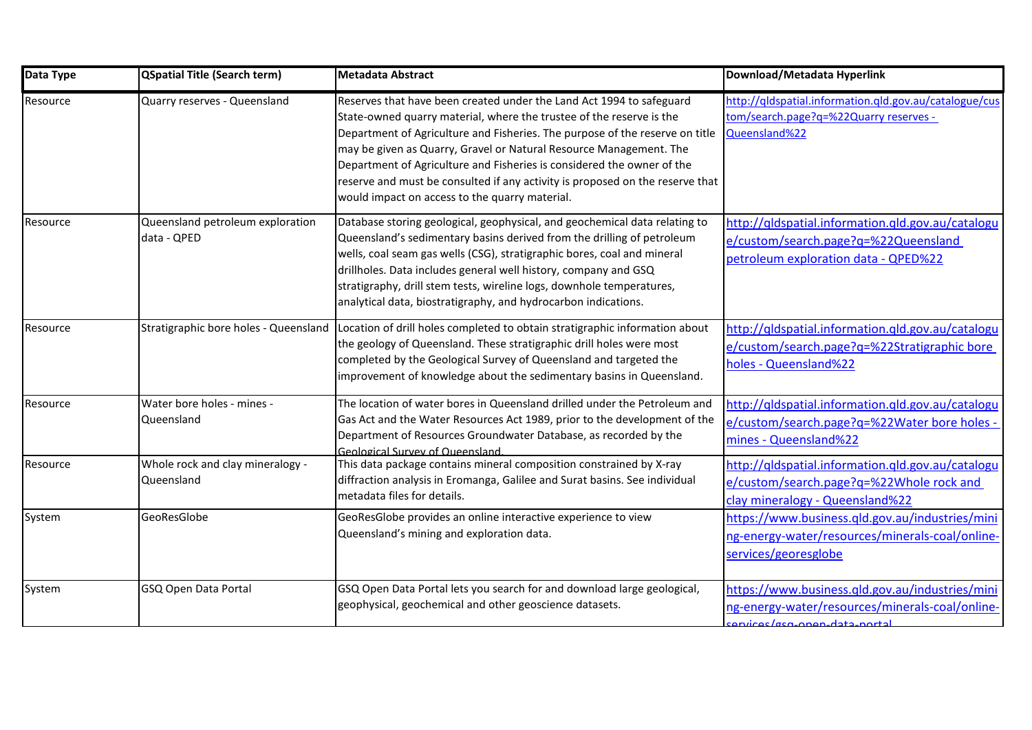| Data Type | <b>QSpatial Title (Search term)</b>             | <b>Metadata Abstract</b>                                                                                                                                                                                                                                                                                                                                                                                                                                                                                        | Download/Metadata Hyperlink                                                                                                       |
|-----------|-------------------------------------------------|-----------------------------------------------------------------------------------------------------------------------------------------------------------------------------------------------------------------------------------------------------------------------------------------------------------------------------------------------------------------------------------------------------------------------------------------------------------------------------------------------------------------|-----------------------------------------------------------------------------------------------------------------------------------|
| Resource  | Quarry reserves - Queensland                    | Reserves that have been created under the Land Act 1994 to safeguard<br>State-owned quarry material, where the trustee of the reserve is the<br>Department of Agriculture and Fisheries. The purpose of the reserve on title<br>may be given as Quarry, Gravel or Natural Resource Management. The<br>Department of Agriculture and Fisheries is considered the owner of the<br>reserve and must be consulted if any activity is proposed on the reserve that<br>would impact on access to the quarry material. | http://gldspatial.information.gld.gov.au/catalogue/cus<br>tom/search.page?q=%22Quarry reserves -<br>Queensland%22                 |
| Resource  | Queensland petroleum exploration<br>data - QPED | Database storing geological, geophysical, and geochemical data relating to<br>Queensland's sedimentary basins derived from the drilling of petroleum<br>wells, coal seam gas wells (CSG), stratigraphic bores, coal and mineral<br>drillholes. Data includes general well history, company and GSQ<br>stratigraphy, drill stem tests, wireline logs, downhole temperatures,<br>analytical data, biostratigraphy, and hydrocarbon indications.                                                                   | http://qldspatial.information.qld.gov.au/catalogu<br>e/custom/search.page?q=%22Queensland<br>petroleum exploration data - QPED%22 |
| Resource  | Stratigraphic bore holes - Queensland           | Location of drill holes completed to obtain stratigraphic information about<br>the geology of Queensland. These stratigraphic drill holes were most<br>completed by the Geological Survey of Queensland and targeted the<br>improvement of knowledge about the sedimentary basins in Queensland.                                                                                                                                                                                                                | http://qldspatial.information.qld.gov.au/catalogu<br>e/custom/search.page?q=%22Stratigraphic bore<br>holes - Queensland%22        |
| Resource  | Water bore holes - mines -<br>Queensland        | The location of water bores in Queensland drilled under the Petroleum and<br>Gas Act and the Water Resources Act 1989, prior to the development of the<br>Department of Resources Groundwater Database, as recorded by the<br>Geological Survey of Queensland.                                                                                                                                                                                                                                                  | http://qldspatial.information.gld.gov.au/catalogu<br>e/custom/search.page?q=%22Water bore holes -<br>mines - Queensland%22        |
| Resource  | Whole rock and clay mineralogy -<br>Queensland  | This data package contains mineral composition constrained by X-ray<br>diffraction analysis in Eromanga, Galilee and Surat basins. See individual<br>metadata files for details.                                                                                                                                                                                                                                                                                                                                | http://qldspatial.information.qld.gov.au/catalogu<br>e/custom/search.page?q=%22Whole rock and<br>clay mineralogy - Queensland%22  |
| System    | GeoResGlobe                                     | GeoResGlobe provides an online interactive experience to view<br>Queensland's mining and exploration data.                                                                                                                                                                                                                                                                                                                                                                                                      | https://www.business.qld.gov.au/industries/mini<br>ng-energy-water/resources/minerals-coal/online-<br>services/georesglobe        |
| System    | GSQ Open Data Portal                            | GSQ Open Data Portal lets you search for and download large geological,<br>geophysical, geochemical and other geoscience datasets.                                                                                                                                                                                                                                                                                                                                                                              | https://www.business.qld.gov.au/industries/mini<br>ng-energy-water/resources/minerals-coal/online-<br>anicas/geg-anon-data-portal |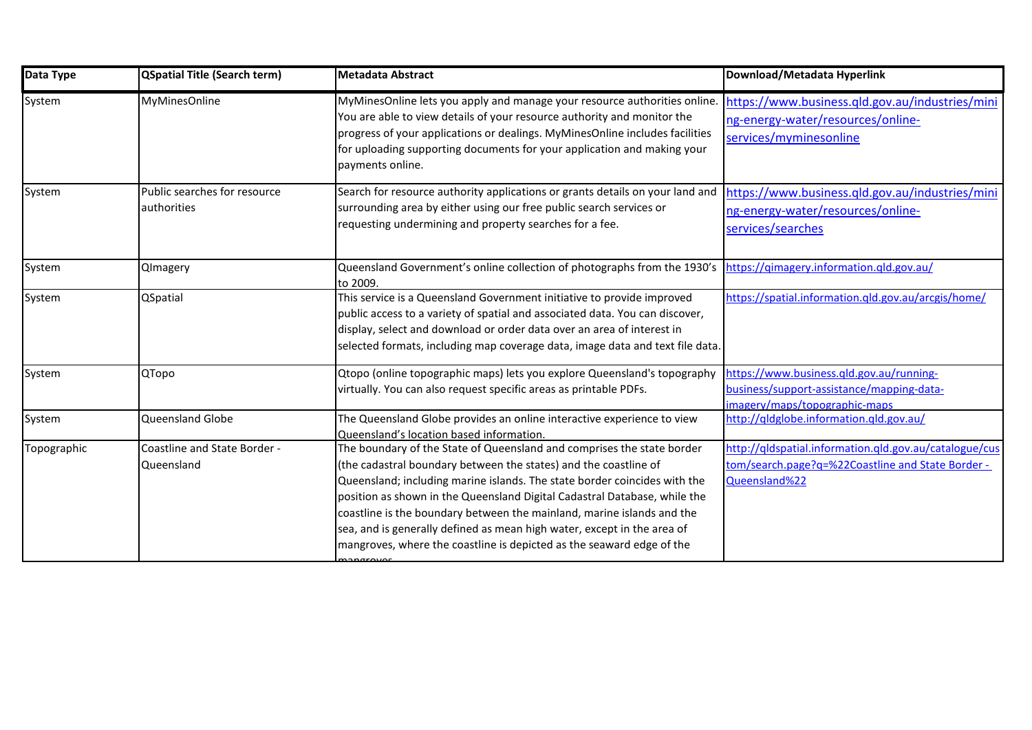| Data Type   | <b>QSpatial Title (Search term)</b>         | Metadata Abstract                                                                                                                                                                                                                                                                                                                                                                                                                                                                                                                  | Download/Metadata Hyperlink                                                                                                  |
|-------------|---------------------------------------------|------------------------------------------------------------------------------------------------------------------------------------------------------------------------------------------------------------------------------------------------------------------------------------------------------------------------------------------------------------------------------------------------------------------------------------------------------------------------------------------------------------------------------------|------------------------------------------------------------------------------------------------------------------------------|
| System      | MyMinesOnline                               | MyMinesOnline lets you apply and manage your resource authorities online.<br>You are able to view details of your resource authority and monitor the<br>progress of your applications or dealings. MyMinesOnline includes facilities<br>for uploading supporting documents for your application and making your<br>payments online.                                                                                                                                                                                                | https://www.business.qld.gov.au/industries/mini<br>ng-energy-water/resources/online-<br>services/myminesonline               |
| System      | Public searches for resource<br>authorities | Search for resource authority applications or grants details on your land and<br>surrounding area by either using our free public search services or<br>requesting undermining and property searches for a fee.                                                                                                                                                                                                                                                                                                                    | https://www.business.gld.gov.au/industries/mini<br>ng-energy-water/resources/online-<br>services/searches                    |
| System      | QImagery                                    | Queensland Government's online collection of photographs from the 1930's<br>to 2009.                                                                                                                                                                                                                                                                                                                                                                                                                                               | https://gimagery.information.gld.gov.au/                                                                                     |
| System      | QSpatial                                    | This service is a Queensland Government initiative to provide improved<br>public access to a variety of spatial and associated data. You can discover,<br>display, select and download or order data over an area of interest in<br>selected formats, including map coverage data, image data and text file data.                                                                                                                                                                                                                  | https://spatial.information.qld.gov.au/arcgis/home/                                                                          |
| System      | QTopo                                       | Qtopo (online topographic maps) lets you explore Queensland's topography<br>virtually. You can also request specific areas as printable PDFs.                                                                                                                                                                                                                                                                                                                                                                                      | https://www.business.gld.gov.au/running-<br>business/support-assistance/mapping-data-<br>imagery/maps/topographic-maps       |
| System      | Queensland Globe                            | The Queensland Globe provides an online interactive experience to view<br>Queensland's location based information.                                                                                                                                                                                                                                                                                                                                                                                                                 | http://qldglobe.information.qld.gov.au/                                                                                      |
| Topographic | Coastline and State Border -<br>Queensland  | The boundary of the State of Queensland and comprises the state border<br>(the cadastral boundary between the states) and the coastline of<br>Queensland; including marine islands. The state border coincides with the<br>position as shown in the Queensland Digital Cadastral Database, while the<br>coastline is the boundary between the mainland, marine islands and the<br>sea, and is generally defined as mean high water, except in the area of<br>mangroves, where the coastline is depicted as the seaward edge of the | http://qldspatial.information.qld.gov.au/catalogue/cus<br>tom/search.page?q=%22Coastline and State Border -<br>Queensland%22 |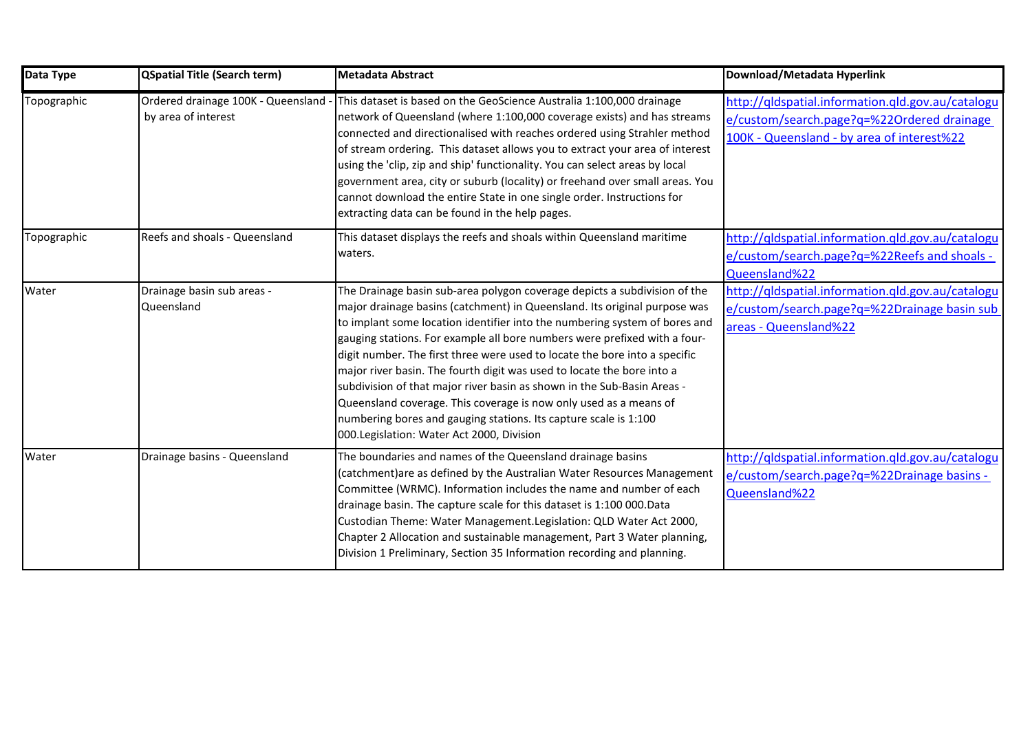| Data Type   | <b>QSpatial Title (Search term)</b>                       | <b>Metadata Abstract</b>                                                                                                                                                                                                                                                                                                                                                                                                                                                                                                                                                                                                                                                                                                                    | Download/Metadata Hyperlink                                                                                                                   |
|-------------|-----------------------------------------------------------|---------------------------------------------------------------------------------------------------------------------------------------------------------------------------------------------------------------------------------------------------------------------------------------------------------------------------------------------------------------------------------------------------------------------------------------------------------------------------------------------------------------------------------------------------------------------------------------------------------------------------------------------------------------------------------------------------------------------------------------------|-----------------------------------------------------------------------------------------------------------------------------------------------|
| Topographic | Ordered drainage 100K - Queensland<br>by area of interest | This dataset is based on the GeoScience Australia 1:100,000 drainage<br>network of Queensland (where 1:100,000 coverage exists) and has streams<br>connected and directionalised with reaches ordered using Strahler method<br>of stream ordering. This dataset allows you to extract your area of interest<br>using the 'clip, zip and ship' functionality. You can select areas by local<br>government area, city or suburb (locality) or freehand over small areas. You<br>cannot download the entire State in one single order. Instructions for<br>extracting data can be found in the help pages.                                                                                                                                     | http://qldspatial.information.qld.gov.au/catalogu<br>e/custom/search.page?q=%22Ordered drainage<br>100K - Queensland - by area of interest%22 |
| Topographic | Reefs and shoals - Queensland                             | This dataset displays the reefs and shoals within Queensland maritime<br>waters.                                                                                                                                                                                                                                                                                                                                                                                                                                                                                                                                                                                                                                                            | http://qldspatial.information.qld.gov.au/catalogu<br>e/custom/search.page?q=%22Reefs and shoals -<br>Queensland%22                            |
| Water       | Drainage basin sub areas -<br>Queensland                  | The Drainage basin sub-area polygon coverage depicts a subdivision of the<br>major drainage basins (catchment) in Queensland. Its original purpose was<br>to implant some location identifier into the numbering system of bores and<br>gauging stations. For example all bore numbers were prefixed with a four-<br>digit number. The first three were used to locate the bore into a specific<br>major river basin. The fourth digit was used to locate the bore into a<br>subdivision of that major river basin as shown in the Sub-Basin Areas -<br>Queensland coverage. This coverage is now only used as a means of<br>numbering bores and gauging stations. Its capture scale is 1:100<br>000. Legislation: Water Act 2000, Division | http://qldspatial.information.qld.gov.au/catalogu<br>e/custom/search.page?q=%22Drainage basin sub<br>areas - Queensland%22                    |
| Water       | Drainage basins - Queensland                              | The boundaries and names of the Queensland drainage basins<br>(catchment)are as defined by the Australian Water Resources Management<br>Committee (WRMC). Information includes the name and number of each<br>drainage basin. The capture scale for this dataset is 1:100 000.Data<br>Custodian Theme: Water Management. Legislation: QLD Water Act 2000,<br>Chapter 2 Allocation and sustainable management, Part 3 Water planning,<br>Division 1 Preliminary, Section 35 Information recording and planning.                                                                                                                                                                                                                              | http://qldspatial.information.qld.gov.au/catalogu<br>e/custom/search.page?q=%22Drainage basins -<br>Queensland%22                             |